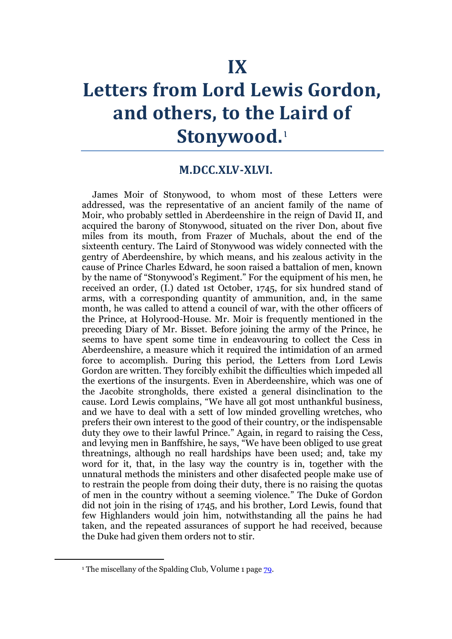# **Letters from Lord Lewis Gordon, and others, to the Laird of Stonywood.**<sup>1</sup>

### **M.DCC.XLV-XLVI.**

James Moir of Stonywood, to whom most of these Letters were addressed, was the representative of an ancient family of the name of Moir, who probably settled in Aberdeenshire in the reign of David II, and acquired the barony of Stonywood, situated on the river Don, about five miles from its mouth, from Frazer of Muchals, about the end of the sixteenth century. The Laird of Stonywood was widely connected with the gentry of Aberdeenshire, by which means, and his zealous activity in the cause of Prince Charles Edward, he soon raised a battalion of men, known by the name of "Stonywood's Regiment." For the equipment of his men, he received an order, (I.) dated 1st October, 1745, for six hundred stand of arms, with a corresponding quantity of ammunition, and, in the same month, he was called to attend a council of war, with the other officers of the Prince, at Holyrood-House. Mr. Moir is frequently mentioned in the preceding Diary of Mr. Bisset. Before joining the army of the Prince, he seems to have spent some time in endeavouring to collect the Cess in Aberdeenshire, a measure which it required the intimidation of an armed force to accomplish. During this period, the Letters from Lord Lewis Gordon are written. They forcibly exhibit the difficulties which impeded all the exertions of the insurgents. Even in Aberdeenshire, which was one of the Jacobite strongholds, there existed a general disinclination to the cause. Lord Lewis complains, "We have all got most unthankful business, and we have to deal with a sett of low minded grovelling wretches, who prefers their own interest to the good of their country, or the indispensable duty they owe to their lawful Prince." Again, in regard to raising the Cess, and levying men in Banffshire, he says, "We have been obliged to use great threatnings, although no reall hardships have been used; and, take my word for it, that, in the lasy way the country is in, together with the unnatural methods the ministers and other disafected people make use of to restrain the people from doing their duty, there is no raising the quotas of men in the country without a seeming violence." The Duke of Gordon did not join in the rising of 1745, and his brother, Lord Lewis, found that few Highlanders would join him, notwithstanding all the pains he had taken, and the repeated assurances of support he had received, because the Duke had given them orders not to stir.

1

<sup>&</sup>lt;sup>1</sup> The miscellany of the Spalding Club, Volume 1 page [79.](http://books.google.com/books?id=QVoJAAAAIAAJ&dq=editions%3AQVoJAAAAIAAJ&as_brr=1&pg=PA79#v=onepage&q&f=false)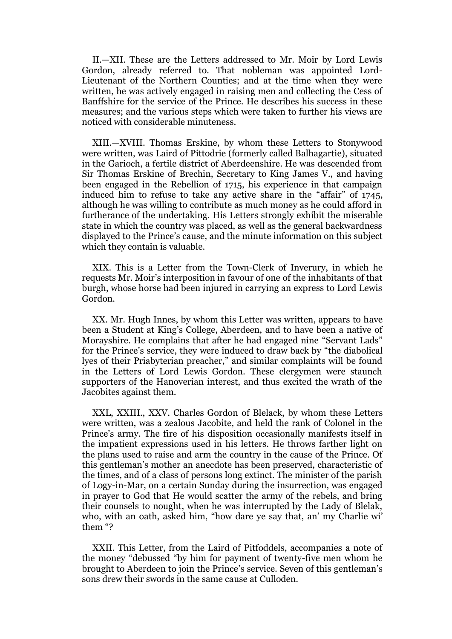II.—XII. These are the Letters addressed to Mr. Moir by Lord Lewis Gordon, already referred to. That nobleman was appointed Lord-Lieutenant of the Northern Counties; and at the time when they were written, he was actively engaged in raising men and collecting the Cess of Banffshire for the service of the Prince. He describes his success in these measures; and the various steps which were taken to further his views are noticed with considerable minuteness.

XIII.—XVIII. Thomas Erskine, by whom these Letters to Stonywood were written, was Laird of Pittodrie (formerly called Balhagartie), situated in the Garioch, a fertile district of Aberdeenshire. He was descended from Sir Thomas Erskine of Brechin, Secretary to King James V., and having been engaged in the Rebellion of 1715, his experience in that campaign induced him to refuse to take any active share in the "affair" of 1745, although he was willing to contribute as much money as he could afford in furtherance of the undertaking. His Letters strongly exhibit the miserable state in which the country was placed, as well as the general backwardness displayed to the Prince's cause, and the minute information on this subject which they contain is valuable.

XIX. This is a Letter from the Town-Clerk of Inverury, in which he requests Mr. Moir's interposition in favour of one of the inhabitants of that burgh, whose horse had been injured in carrying an express to Lord Lewis Gordon.

XX. Mr. Hugh Innes, by whom this Letter was written, appears to have been a Student at King's College, Aberdeen, and to have been a native of Morayshire. He complains that after he had engaged nine "Servant Lads" for the Prince's service, they were induced to draw back by "the diabolical lyes of their Priabyterian preacher," and similar complaints will be found in the Letters of Lord Lewis Gordon. These clergymen were staunch supporters of the Hanoverian interest, and thus excited the wrath of the Jacobites against them.

XXL, XXIII., XXV. Charles Gordon of Blelack, by whom these Letters were written, was a zealous Jacobite, and held the rank of Colonel in the Prince's army. The fire of his disposition occasionally manifests itself in the impatient expressions used in his letters. He throws farther light on the plans used to raise and arm the country in the cause of the Prince. Of this gentleman's mother an anecdote has been preserved, characteristic of the times, and of a class of persons long extinct. The minister of the parish of Logy-in-Mar, on a certain Sunday during the insurrection, was engaged in prayer to God that He would scatter the army of the rebels, and bring their counsels to nought, when he was interrupted by the Lady of Blelak, who, with an oath, asked him, "how dare ye say that, an' my Charlie wi' them "?

XXII. This Letter, from the Laird of Pitfoddels, accompanies a note of the money "debussed "by him for payment of twenty-five men whom he brought to Aberdeen to join the Prince's service. Seven of this gentleman's sons drew their swords in the same cause at Culloden.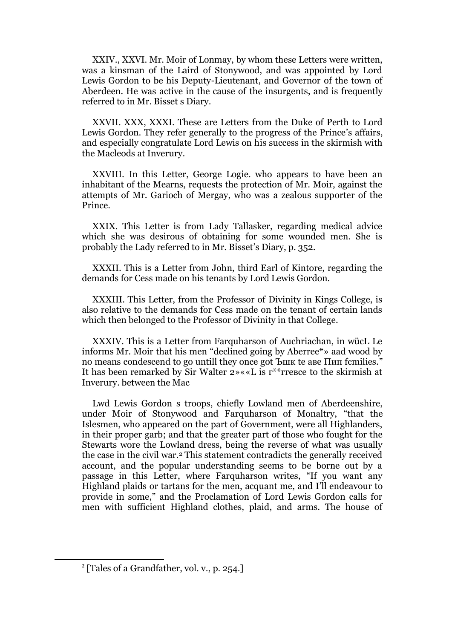XXIV., XXVI. Mr. Moir of Lonmay, by whom these Letters were written, was a kinsman of the Laird of Stonywood, and was appointed by Lord Lewis Gordon to be his Deputy-Lieutenant, and Governor of the town of Aberdeen. He was active in the cause of the insurgents, and is frequently referred to in Mr. Bisset s Diary.

XXVII. XXX, XXXI. These are Letters from the Duke of Perth to Lord Lewis Gordon. They refer generally to the progress of the Prince's affairs, and especially congratulate Lord Lewis on his success in the skirmish with the Macleods at Inverury.

XXVIII. In this Letter, George Logie. who appears to have been an inhabitant of the Mearns, requests the protection of Mr. Moir, against the attempts of Mr. Garioch of Mergay, who was a zealous supporter of the Prince.

XXIX. This Letter is from Lady Tallasker, regarding medical advice which she was desirous of obtaining for some wounded men. She is probably the Lady referred to in Mr. Bisset's Diary, p. 352.

XXXII. This is a Letter from John, third Earl of Kintore, regarding the demands for Cess made on his tenants by Lord Lewis Gordon.

XXXIII. This Letter, from the Professor of Divinity in Kings College, is also relative to the demands for Cess made on the tenant of certain lands which then belonged to the Professor of Divinity in that College.

XXXIV. This is a Letter from Farquharson of Auchriachan, in wücL Le informs Mr. Moir that his men "declined going by Aberree\*» aad wood by no means condescend to go untill they once got Ъшк te аве Пип fcmilies." It has been remarked by Sir Walter 2»««L is г\*\*ггевсе to the skirmish at Inverury. between the Mac

Lwd Lewis Gordon s troops, chiefly Lowland men of Aberdeenshire, under Moir of Stonywood and Farquharson of Monaltry, "that the Islesmen, who appeared on the part of Government, were all Highlanders, in their proper garb; and that the greater part of those who fought for the Stewarts wore the Lowland dress, being the reverse of what was usually the case in the civil war.<sup>2</sup> This statement contradicts the generally received account, and the popular understanding seems to be borne out by a passage in this Letter, where Farquharson writes, "If you want any Highland plaids or tartans for the men, acquant me, and I'll endeavour to provide in some," and the Proclamation of Lord Lewis Gordon calls for men with sufficient Highland clothes, plaid, and arms. The house of

1

<sup>&</sup>lt;sup>2</sup> [Tales of a Grandfather, vol. v., p. 254.]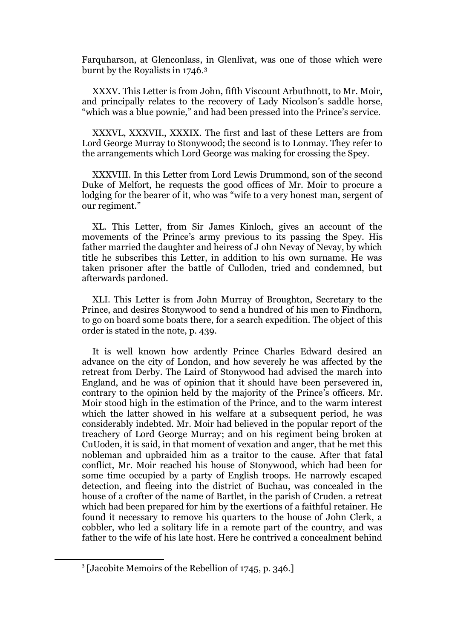Farquharson, at Glenconlass, in Glenlivat, was one of those which were burnt by the Royalists in 1746.<sup>3</sup>

XXXV. This Letter is from John, fifth Viscount Arbuthnott, to Mr. Moir, and principally relates to the recovery of Lady Nicolson's saddle horse, "which was a blue pownie," and had been pressed into the Prince's service.

XXXVL, XXXVII., XXXIX. The first and last of these Letters are from Lord George Murray to Stonywood; the second is to Lonmay. They refer to the arrangements which Lord George was making for crossing the Spey.

XXXVIII. In this Letter from Lord Lewis Drummond, son of the second Duke of Melfort, he requests the good offices of Mr. Moir to procure a lodging for the bearer of it, who was "wife to a very honest man, sergent of our regiment."

XL. This Letter, from Sir James Kinloch, gives an account of the movements of the Prince's army previous to its passing the Spey. His father married the daughter and heiress of J ohn Nevay of Nevay, by which title he subscribes this Letter, in addition to his own surname. He was taken prisoner after the battle of Culloden, tried and condemned, but afterwards pardoned.

XLI. This Letter is from John Murray of Broughton, Secretary to the Prince, and desires Stonywood to send a hundred of his men to Findhorn, to go on board some boats there, for a search expedition. The object of this order is stated in the note, p. 439.

It is well known how ardently Prince Charles Edward desired an advance on the city of London, and how severely he was affected by the retreat from Derby. The Laird of Stonywood had advised the march into England, and he was of opinion that it should have been persevered in, contrary to the opinion held by the majority of the Prince's officers. Mr. Moir stood high in the estimation of the Prince, and to the warm interest which the latter showed in his welfare at a subsequent period, he was considerably indebted. Mr. Moir had believed in the popular report of the treachery of Lord George Murray; and on his regiment being broken at CuUoden, it is said, in that moment of vexation and anger, that he met this nobleman and upbraided him as a traitor to the cause. After that fatal conflict, Mr. Moir reached his house of Stonywood, which had been for some time occupied by a party of English troops. He narrowly escaped detection, and fleeing into the district of Buchau, was concealed in the house of a crofter of the name of Bartlet, in the parish of Cruden. a retreat which had been prepared for him by the exertions of a faithful retainer. He found it necessary to remove his quarters to the house of John Clerk, a cobbler, who led a solitary life in a remote part of the country, and was father to the wife of his late host. Here he contrived a concealment behind

1

<sup>&</sup>lt;sup>3</sup> [Jacobite Memoirs of the Rebellion of 1745, p. 346.]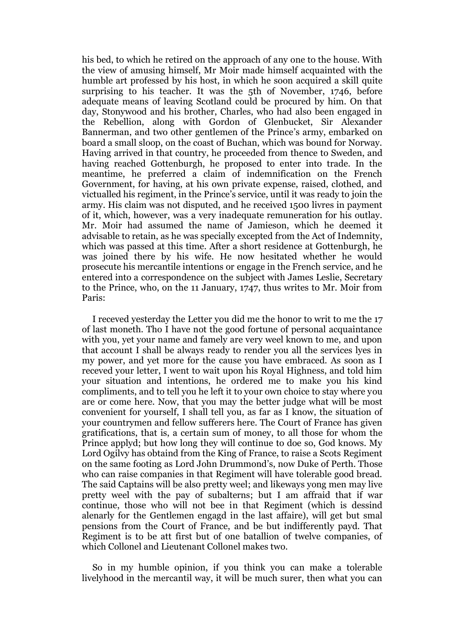his bed, to which he retired on the approach of any one to the house. With the view of amusing himself, Mr Moir made himself acquainted with the humble art professed by his host, in which he soon acquired a skill quite surprising to his teacher. It was the 5th of November, 1746, before adequate means of leaving Scotland could be procured by him. On that day, Stonywood and his brother, Charles, who had also been engaged in the Rebellion, along with Gordon of Glenbucket, Sir Alexander Bannerman, and two other gentlemen of the Prince's army, embarked on board a small sloop, on the coast of Buchan, which was bound for Norway. Having arrived in that country, he proceeded from thence to Sweden, and having reached Gottenburgh, he proposed to enter into trade. In the meantime, he preferred a claim of indemnification on the French Government, for having, at his own private expense, raised, clothed, and victualled his regiment, in the Prince's service, until it was ready to join the army. His claim was not disputed, and he received 1500 livres in payment of it, which, however, was a very inadequate remuneration for his outlay. Mr. Moir had assumed the name of Jamieson, which he deemed it advisable to retain, as he was specially excepted from the Act of Indemnity, which was passed at this time. After a short residence at Gottenburgh, he was joined there by his wife. He now hesitated whether he would prosecute his mercantile intentions or engage in the French service, and he entered into a correspondence on the subject with James Leslie, Secretary to the Prince, who, on the 11 January, 1747, thus writes to Mr. Moir from Paris:

I receved yesterday the Letter you did me the honor to writ to me the 17 of last moneth. Tho I have not the good fortune of personal acquaintance with you, yet your name and famely are very weel known to me, and upon that account I shall be always ready to render you all the services lyes in my power, and yet more for the cause you have embraced. As soon as I receved your letter, I went to wait upon his Royal Highness, and told him your situation and intentions, he ordered me to make you his kind compliments, and to tell you he left it to your own choice to stay where you are or come here. Now, that you may the better judge what will be most convenient for yourself, I shall tell you, as far as I know, the situation of your countrymen and fellow sufferers here. The Court of France has given gratifications, that is, a certain sum of money, to all those for whom the Prince applyd; but how long they will continue to doe so, God knows. My Lord Ogilvy has obtaind from the King of France, to raise a Scots Regiment on the same footing as Lord John Drummond's, now Duke of Perth. Those who can raise companies in that Regiment will have tolerable good bread. The said Captains will be also pretty weel; and likeways yong men may live pretty weel with the pay of subalterns; but I am affraid that if war continue, those who will not bee in that Regiment (which is dessind alenarly for the Gentlemen engagd in the last affaire), will get but smal pensions from the Court of France, and be but indifferently payd. That Regiment is to be att first but of one batallion of twelve companies, of which Collonel and Lieutenant Collonel makes two.

So in my humble opinion, if you think you can make a tolerable livelyhood in the mercantil way, it will be much surer, then what you can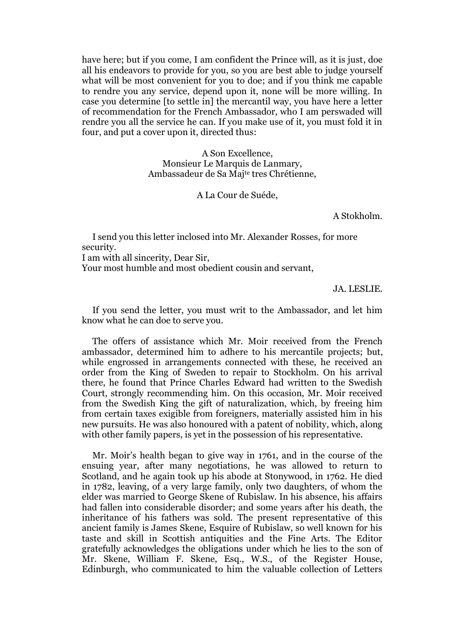have here; but if you come, I am confident the Prince will, as it is just, doe all his endeavors to provide for you, so you are best able to judge yourself what will be most convenient for you to doe; and if you think me capable to rendre you any service, depend upon it, none will be more willing. In case you determine [to settle in] the mercantil way, you have here a letter of recommendation for the French Ambassador, who I am perswaded will rendre you all the service he can. If you make use of it, you must fold it in four, and put a cover upon it, directed thus:

> A Son Excellence, Monsieur Le Marquis de Lanmary, Ambassadeur de Sa Majte tres Chrétienne,

> > A La Cour de Suéde,

A Stokholm.

I send you this letter inclosed into Mr. Alexander Rosses, for more security. I am with all sincerity, Dear Sir,

Your most humble and most obedient cousin and servant,

JA. LESLIE.

If you send the letter, you must writ to the Ambassador, and let him know what he can doe to serve you.

The offers of assistance which Mr. Moir received from the French ambassador, determined him to adhere to his mercantile projects; but, while engrossed in arrangements connected with these, he received an order from the King of Sweden to repair to Stockholm. On his arrival there, he found that Prince Charles Edward had written to the Swedish Court, strongly recommending him. On this occasion, Mr. Moir received from the Swedish King the gift of naturalization, which, by freeing him from certain taxes exigible from foreigners, materially assisted him in his new pursuits. He was also honoured with a patent of nobility, which, along with other family papers, is yet in the possession of his representative.

Mr. Moir's health began to give way in 1761, and in the course of the ensuing year, after many negotiations, he was allowed to return to Scotland, and he again took up his abode at Stonywood, in 1762. He died in 1782, leaving, of a very large family, only two daughters, of whom the elder was married to George Skene of Rubislaw. In his absence, his affairs had fallen into considerable disorder; and some years after his death, the inheritance of his fathers was sold. The present representative of this ancient family is James Skene, Esquire of Rubislaw, so well known for his taste and skill in Scottish antiquities and the Fine Arts. The Editor gratefully acknowledges the obligations under which he lies to the son of Mr. Skene, William F. Skene, Esq., W.S., of the Register House, Edinburgh, who communicated to him the valuable collection of Letters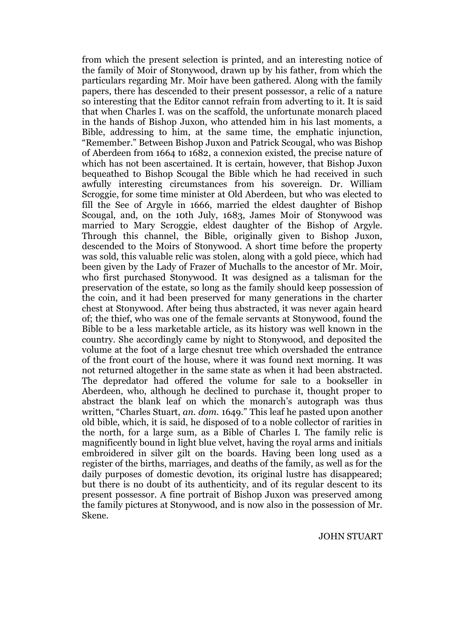from which the present selection is printed, and an interesting notice of the family of Moir of Stonywood, drawn up by his father, from which the particulars regarding Mr. Moir have been gathered. Along with the family papers, there has descended to their present possessor, a relic of a nature so interesting that the Editor cannot refrain from adverting to it. It is said that when Charles I. was on the scaffold, the unfortunate monarch placed in the hands of Bishop Juxon, who attended him in his last moments, a Bible, addressing to him, at the same time, the emphatic injunction, "Remember." Between Bishop Juxon and Patrick Scougal, who was Bishop of Aberdeen from 1664 to 1682, a connexion existed, the precise nature of which has not been ascertained. It is certain, however, that Bishop Juxon bequeathed to Bishop Scougal the Bible which he had received in such awfully interesting circumstances from his sovereign. Dr. William Scroggie, for some time minister at Old Aberdeen, but who was elected to fill the See of Argyle in 1666, married the eldest daughter of Bishop Scougal, and, on the 10th July, 1683, James Moir of Stonywood was married to Mary Scroggie, eldest daughter of the Bishop of Argyle. Through this channel, the Bible, originally given to Bishop Juxon, descended to the Moirs of Stonywood. A short time before the property was sold, this valuable relic was stolen, along with a gold piece, which had been given by the Lady of Frazer of Muchalls to the ancestor of Mr. Moir, who first purchased Stonywood. It was designed as a talisman for the preservation of the estate, so long as the family should keep possession of the coin, and it had been preserved for many generations in the charter chest at Stonywood. After being thus abstracted, it was never again heard of; the thief, who was one of the female servants at Stonywood, found the Bible to be a less marketable article, as its history was well known in the country. She accordingly came by night to Stonywood, and deposited the volume at the foot of a large chesnut tree which overshaded the entrance of the front court of the house, where it was found next morning. It was not returned altogether in the same state as when it had been abstracted. The depredator had offered the volume for sale to a bookseller in Aberdeen, who, although he declined to purchase it, thought proper to abstract the blank leaf on which the monarch's autograph was thus written, "Charles Stuart, *an. dom.* 1649." This leaf he pasted upon another old bible, which, it is said, he disposed of to a noble collector of rarities in the north, for a large sum, as a Bible of Charles I. The family relic is magnificently bound in light blue velvet, having the royal arms and initials embroidered in silver gilt on the boards. Having been long used as a register of the births, marriages, and deaths of the family, as well as for the daily purposes of domestic devotion, its original lustre has disappeared; but there is no doubt of its authenticity, and of its regular descent to its present possessor. A fine portrait of Bishop Juxon was preserved among the family pictures at Stonywood, and is now also in the possession of Mr. Skene.

JOHN STUART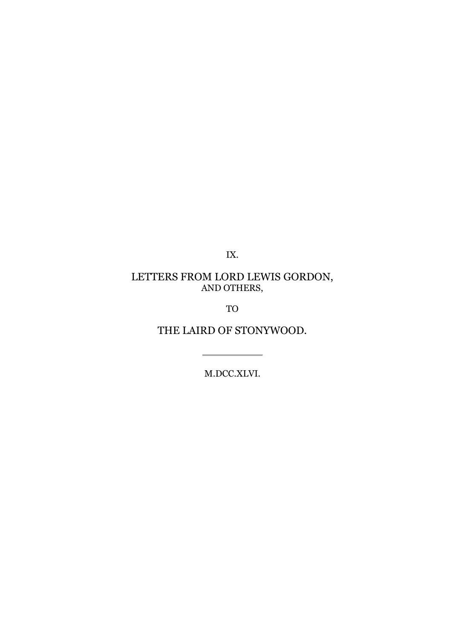IX.

## LETTERS FROM LORD LEWIS GORDON, AND OTHERS,

TO

THE LAIRD OF STONYWOOD.

M.DCC.XLVI.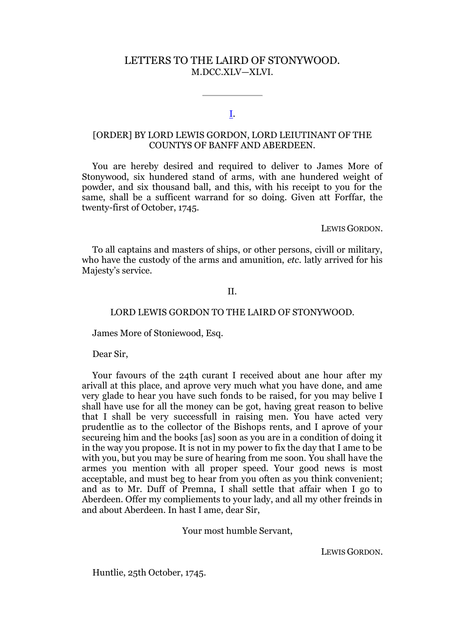### LETTERS TO THE LAIRD OF STONYWOOD. M.DCC.XLV—XLVI.

### [I.](http://books.google.com/books?id=QVoJAAAAIAAJ&lpg=PA97&ots=DCvQ8nZ54c&dq=Letters%20to%20the%20Laird%20of%20Stoneywood&pg=PA401#v=onepage&q&f=false)

### [ORDER] BY LORD LEWIS GORDON, LORD LEIUTINANT OF THE COUNTYS OF BANFF AND ABERDEEN.

You are hereby desired and required to deliver to James More of Stonywood, six hundered stand of arms, with ane hundered weight of powder, and six thousand ball, and this, with his receipt to you for the same, shall be a sufficent warrand for so doing. Given att Forffar, the twenty-first of October, 1745.

LEWIS GORDON.

To all captains and masters of ships, or other persons, civill or military, who have the custody of the arms and amunition, *etc.* latly arrived for his Majesty's service.

### II.

### LORD LEWIS GORDON TO THE LAIRD OF STONYWOOD.

James More of Stoniewood, Esq.

Dear Sir,

Your favours of the 24th curant I received about ane hour after my arivall at this place, and aprove very much what you have done, and ame very glade to hear you have such fonds to be raised, for you may belive I shall have use for all the money can be got, having great reason to belive that I shall be vегу successfull in raising men. You have acted very prudentlie as to the collector of the Bishops rents, and I aprove of your secureing him and the books [as] soon as you are in a condition of doing it in the way you propose. It is not in my power to fix the day that I ame to be with you, but you may be sure of hearing from me soon. You shall have the armes you mention with all proper speed. Your good news is most acceptable, and must beg to hear from you often as you think convenient; and as to Mr. Duff of Premna, I shall settle that affair when I go to Aberdeen. Offer my compliements to your lady, and all my other freinds in and about Aberdeen. In hast I ame, dear Sir,

Your most humble Servant,

LEWIS GORDON.

Huntlie, 25th October, 1745.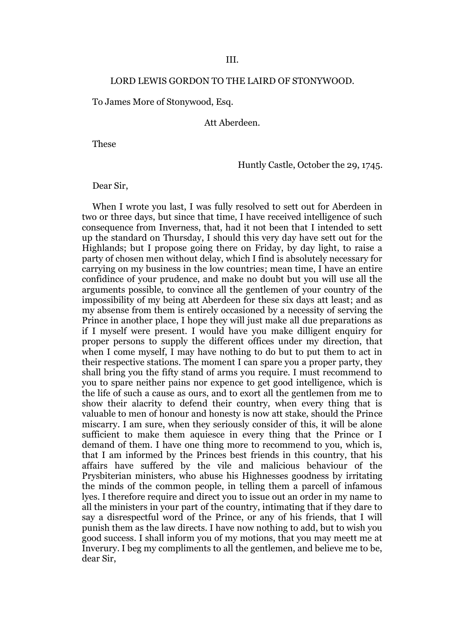### LORD LEWIS GORDON TO THE LAIRD OF STONYWOOD.

To James More of Stonywood, Esq.

Att Aberdeen.

These

Huntly Castle, October the 29, 1745.

Dear Sir,

When I wrote you last, I was fully resolved to sett out for Aberdeen in two or three days, but since that time, I have received intelligence of such consequence from Inverness, that, had it not been that I intended to sett up the standard on Thursday, I should this very day have sett out for the Highlands; but I propose going there on Friday, by day light, to raise a party of chosen men without delay, which I find is absolutely necessary for carrying on my business in the low countries; mean time, I have an entire confidince of your prudence, and make no doubt but you will use all the arguments possible, to convince all the gentlemen of your country of the impossibility of my being att Aberdeen for these six days att least; and as my absense from them is entirely occasioned by a necessity of serving the Prince in another place, I hope they will just make all due preparations as if I myself were present. I would have you make dilligent enquiry for proper persons to supply the different offices under my direction, that when I come myself, I may have nothing to do but to put them to act in their respective stations. The moment I can spare you a proper party, they shall bring you the fifty stand of arms you require. I must recommend to you to spare neither pains nor expence to get good intelligence, which is the life of such a cause as ours, and to exort all the gentlemen from me to show their alacrity to defend their country, when every thing that is valuable to men of honour and honesty is now att stake, should the Prince miscarry. I am sure, when they seriously consider of this, it will be alone sufficient to make them aquiesce in every thing that the Prince or I demand of them. I have one thing more to recommend to you, which is, that I am informed by the Princes best friends in this country, that his affairs have suffered by the vile and malicious behaviour of the Prysbiterian ministers, who abuse his Highnesses goodness by irritating the minds of the common people, in telling them a parcell of infamous lyes. I therefore require and direct you to issue out an order in my name to all the ministers in your part of the country, intimating that if they dare to say a disrespectful word of the Prince, or any of his friends, that I will punish them as the law directs. I have now nothing to add, but to wish you good success. I shall inform you of my motions, that you may meett me at Inverury. I beg my compliments to all the gentlemen, and believe me to be, dear Sir,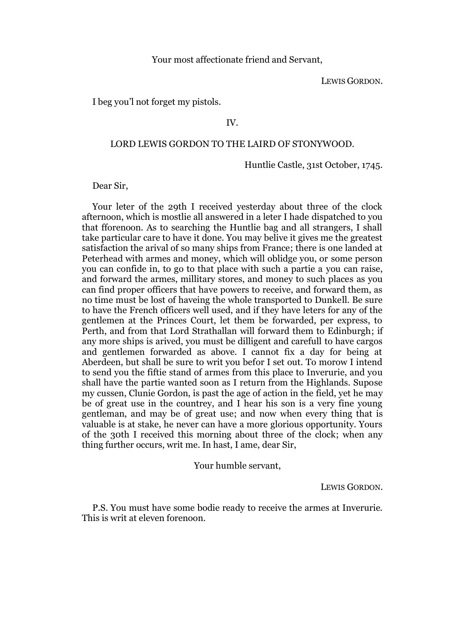### Your most affectionate friend and Servant,

LEWIS GORDON.

I beg you'l not forget my pistols.

### IV.

### LORD LEWIS GORDON TO THE LAIRD OF STONYWOOD.

### Huntlie Castle, 31st October, 1745.

Dear Sir,

Your leter of the 29th I received yesterday about three of the clock afternoon, which is mostlie all answered in a leter I hade dispatched to you that fforenoon. As to searching the Huntlie bag and all strangers, I shall take particular care to have it done. You may belive it gives me the greatest satisfaction the arival of so many ships from France; there is one landed at Peterhead with armes and money, which will oblidge you, or somе person you can confide in, to go to that place with such a partie a you can raise, and forward the armes, millitary stores, and money to such places аs you can find proper officers that have powers to receive, and forward them, as no time must be lost of haveing the whole transported to Dunkell. Be sure to have the French officers well used, and if they have leters for any of the gentlemen at the Princes Court, let them be forwarded, per express, to Perth, and from that Lord Strathallan will forward them to Edinburgh; if any more ships is arived, you must be dilligent and carefull to have cargos and gentlemen forwarded as above. I cannot fix a day for being at Aberdeen, but shall be sure to writ you befor I set out. To morow I intend to send you the fiftie stand of armes from this place to Inverurie, and you shall have the partie wanted soon as I return from the Highlands. Supose my cussen, Clunie Gordon, is past the age of action in the field, yet he may be of great use in the countrey, and I hear his son is a very fine young gentleman, and may be of great use; and now when every thing that is valuable is at stake, he never can have a more glorious opportunity. Yours of the 30th I received this morning about three of the clock; when any thing further occurs, writ me. In hast, I ame, dear Sir,

Your humble servant,

LEWIS GORDON.

P.S. You must have some bodie ready to receive the armes at Inverurie. This is writ at eleven forenoon.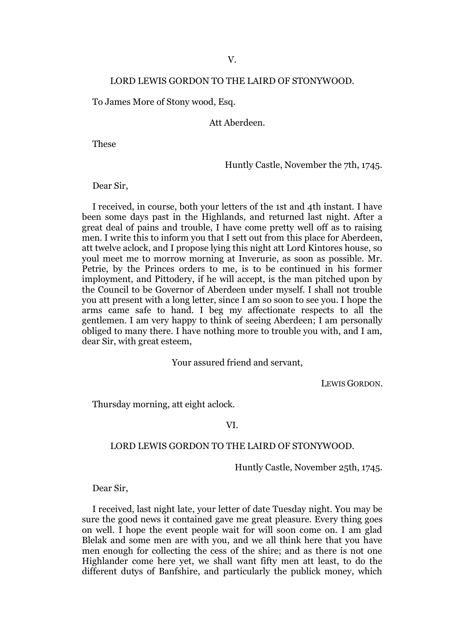### V.

### LORD LEWIS GORDON TO THE LAIRD OF STONYWOOD.

To James More of Stony wood, Esq.

Att Aberdeen.

These

Huntly Castle, November the 7th, 1745.

Dear Sir,

I received, in course, both your letters of the 1st and 4th instant. I have been some days past in the Highlands, and returned last night. After a great deal of pains and trouble, I have come pretty well off as to raising men. I write this to inform you that I sett out from this place for Aberdeen, att twelve aclock, and I propose lying this night att Lord Kintores house, so youl meet me to morrow morning at Inverurie, as soon as possible. Mr. Petrie, by the Princes orders to me, is to be continued in his former imployment, and Pittodery, if he will accept, is the man pitched upon by the Council to be Governor of Aberdeen under myself. I shall not trouble you att present with a long letter, since I am so soon to see you. I hope the arms came safe to hand. I beg my affectionate respects to all the gentlemen. I am very happy to think of seeing Aberdeen; I am personally obliged to many there. I have nothing more to trouble you with, and I am, dear Sir, with great esteem,

Your assured friend and servant,

LEWIS GORDON.

Thursday morning, att eight aclock.

VI.

### LORD LEWIS GORDON TO THE LAIRD OF STONYWOOD.

Huntly Castle, November 25th, 1745.

Dear Sir,

I received, last night late, your letter of date Tuesday night. You may be sure the good news it contained gave me great pleasure. Every thing goes on well. I hope the event people wait for will soon come on. I am glad Blelak and some men are with you, and we all think here that you have men enough for collecting the cess of the shire; and as there is not one Highlander come here yet, we shall want fifty men att least, to do the different dutys of Banfshire, and particularly the publick money, which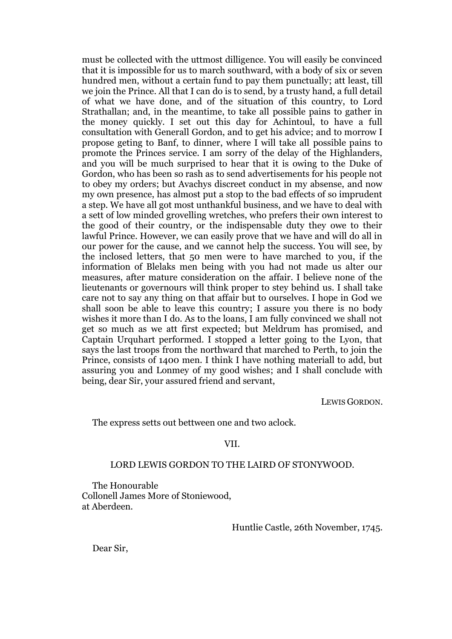must be collected with the uttmost dilligence. You will easily be convinced that it is impossible for us to march southward, with a body of six or seven hundred men, without a certain fund to pay them punctually; att least, till we join the Prince. All that I can do is to send, by a trusty hand, a full detail of what we have done, and of the situation of this country, to Lord Strathallan; and, in the meantime, to take all possible pains to gather in the money quickly. I set out this day for Achintoul, to have a full consultation with Generall Gordon, and to get his advice; and to morrow I propose geting to Banf, to dinner, where I will take all possible pains to promote the Princes service. I am sorry of the delay of the Highlanders, and you will be much surprised to hear that it is owing to the Duke of Gordon, who has been so rash as to send advertisements for his people not to obey my orders; but Avachys discreet conduct in my absense, and now my own presence, has almost put a stop to the bad effects of so imprudent a step. We have all got most unthankful business, and we have to deal with a sett of low minded grovelling wretches, who prefers their own interest to the good of their country, or the indispensable duty they owe to their lawful Prince. However, we can easily prove that we have and will do all in our power for the cause, and we cannot help the success. You will see, by the inclosed letters, that 50 men were to have marched to you, if the information of Blelaks men being with you had not made us alter our measures, after mature consideration on the affair. I believe none of the lieutenants or governours will think proper to stey behind us. I shall take care not to say any thing on that affair but to ourselves. I hope in God we shall soon be able to leave this country; I assure you there is no body wishes it more than I do. As to the loans, I am fully convinced we shall not get so much as we att first expected; but Meldrum has promised, and Captain Urquhart performed. I stopped a letter going to the Lyon, that says the last troops from the northward that marched to Perth, to join the Prince, consists of 1400 men. I think I have nothing materiall to add, but assuring you and Lonmey of my good wishes; and I shall conclude with being, dear Sir, your assured friend and servant,

LEWIS GORDON.

The express setts out bettween one and two aclock.

### VII.

### LORD LEWIS GORDON TO THE LAIRD OF STONYWOOD.

The Honourable Collonell James More of Stoniewood, at Aberdeen.

Huntlie Castle, 26th November, 1745.

Dear Sir,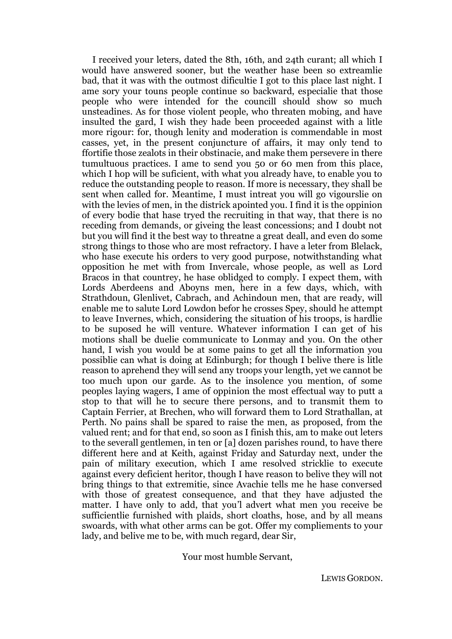I received your leters, dated the 8th, 16th, and 24th curant; all which I would have answered sooner, but the weather hase been so extreamlie bad, that it was with the outmost dificultie I got to this place last night. I ame sory your touns people continue so backward, especialie that those people who were intended for the councill should show so much unsteadines. As for those violent people, who threaten mobing, and have insulted the gard, I wish they hade been proceeded against with a litle more rigour: for, though lenity and moderation is commendable in most casses, yet, in the present conjuncture of affairs, it may only tend to ffortifie those zealots in their obstinacie, and make them persevere in there tumultuous practices. I ame to send you 50 or 60 men from this place, which I hop will be suficient, with what you already have, to enable you to reduce the outstanding people to reason. If more is necessary, they shall be sent when called for. Meantime, I must intreat you will go vigourslie on with the levies of men, in the districk apointed you. I find it is the oppinion of every bodie that hase tryed the recruiting in that way, that there is no receding from demands, or giveing the least concessions; and I doubt not but you will find it the best way to threatne a great deall, and even do some strong things to those who are most refractory. I have a leter from Blelack, who hase execute his orders to very good purpose, notwithstanding what opposition he met with from Invercale, whose people, as well as Lord Bracos in that countrey, he hase oblidged to comply. I expect them, with Lords Aberdeens and Aboyns men, here in a few days, which, with Strathdoun, Glenlivet, Cabrach, and Achindoun men, that are ready, will enable me to salute Lord Lowdon befor he crosses Spey, should he attempt to leave Invernes, which, considering the situation of his troops, is hardlie to be suposed he will venture. Whatever information I can get of his motions shall be duelie communicate to Lonmay and you. On the other hand, I wish you would be at some pains to get all the information you possiblie can what is doing at Edinburgh; for though I belive there is litle reason to aprehend they will send any troops уouг length, yet we cannot be too much upon our garde. As to the insolence you mention, of some peoples laying wagers, I ame of oppinion the most effectual way to putt a stop to that will he to secure there persons, and to transmit them to Captain Ferrier, at Brechen, who will forward them to Lord Strathallan, at Perth. No pains shall be spared to raise the men, as proposed, from the valued rent; and for that end, so soon as I finish this, am to make out leters to the severall gentlemen, in ten or [a] dozen parishes round, to have there different here and at Keith, against Friday and Saturday next, under the pain of military execution, which I ame resolved stricklie to execute against every deficient heritor, though I have reason to belive they will not bring things to that extremitie, since Avachie tells me he hase conversed with those of greatest consequence, and that they have adjusted the matter. I have only to add, that you'l advert what men you receive be sufficientlie furnished with plaids, short cloaths, hose, and by all means swoards, with what other arms can be got. Offer my compliements to your lady, and belive me to be, with much regard, dear Sir,

Your most humble Servant,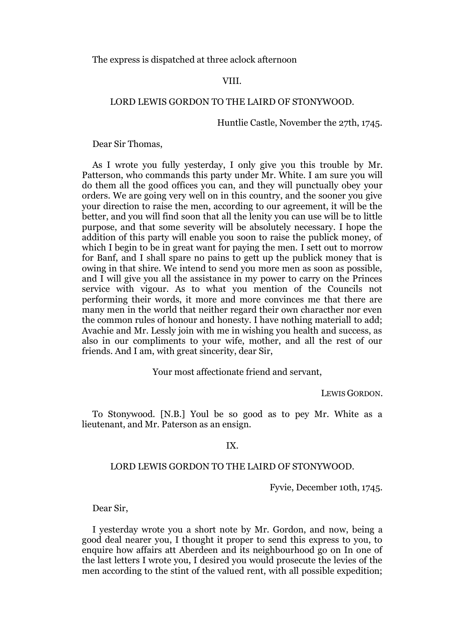The express is dispatched at three aclock afternoon

### VIII.

### LORD LEWIS GORDON TO THE LAIRD OF STONYWOOD.

Huntlie Castle, November the 27th, 1745.

Dear Sir Thomas,

As I wrote you fully yesterday, I only give you this trouble by Mr. Patterson, who commands this party under Mr. White. I am sure you will do them all the good offices you can, and they will punctually obey your orders. We are going very well on in this country, and the sooner you give your direction to raise the men, according to our agreement, it will be the better, and you will find soon that all the lenity you can use will be to little purpose, and that some severity will be absolutely necessary. I hope the addition of this party will enable you soon to raise the publick money, of which I begin to be in great want for paying the men. I sett out to morrow for Banf, and I shall spare no pains to gett up the publick money that is owing in that shire. We intend to send you more men as soon as possible, and I will give you all the assistance in my power to carry on the Princes service with vigour. As to what you mention of the Councils not performing their words, it more and more convinces me that there are many men in the world that neither regard their own characther nor even the common rules of honour and honesty. I have nothing materiall to add; Avachie and Mr. Lessly join with me in wishing you health and success, as also in our compliments to your wife, mother, and all the rest of our friends. And I am, with great sincerity, dear Sir,

### Your most affectionate friend and servant,

LEWIS GORDON.

To Stonywood. [N.B.] Youl be so good as to pey Mr. White as a lieutenant, and Mr. Paterson as an ensign.

### IX.

#### LORD LEWIS GORDON TO THE LAIRD OF STONYWOOD.

Fyvie, December 10th, 1745.

Dear Sir,

I yesterday wrote you a short note by Mr. Gordon, and now, being a good deal nearer you, I thought it proper to send this express to you, to enquire how affairs att Aberdeen and its neighbourhood go on In one of the last letters I wrote you, I desired you would prosecute the levies of the men according to the stint of the valued rent, with all possible expedition;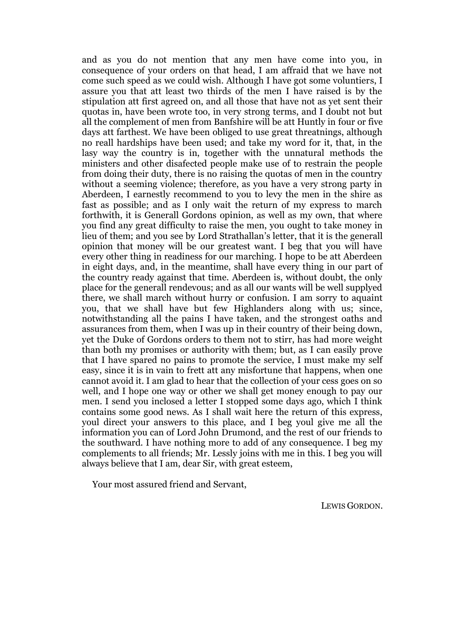and as you do not mention that any men have come into you, in consequence of your orders on that head, I am affraid that we have not come such speed as we could wish. Although I have got some voluntiers, I assure you that att least two thirds of the men I have raised is by the stipulation att first agreed on, and all those that have not as yet sent their quotas in, have been wrote too, in very strong terms, and I doubt not but all the complement of men from Banfshire will be att Huntly in four or five days att farthest. We have been obliged to use great threatnings, although no reall hardships have been used; and take my word for it, that, in the lasy way the country is in, together with the unnatural methods the ministers and other disafected people make use of to restrain the people from doing their duty, there is no raising the quotas of men in the country without a seeming violence; therefore, as you have a very strong party in Aberdeen, I earnestly recommend to you to levy the men in the shire as fast as possible; and as I only wait the return of my express to march forthwith, it is Generall Gordons opinion, as well as my own, that where you find any great difficulty to raise the men, you ought to take money in lieu of them; and you see by Lord Strathallan's letter, that it is the generall opinion that money will be our greatest want. I beg that you will have every other thing in readiness for our marching. I hope to be att Aberdeen in eight days, and, in the meantime, shall have every thing in our part of the country ready against that time. Aberdeen is, without doubt, the only place for the generall rendevous; and as all our wants will be well supplyed there, we shall march without hurry or confusion. I am sorry to aquaint you, that we shall have but few Highlanders along with us; since, notwithstanding all the pains I have taken, and the strongest oaths and assurances from them, when I was up in their country of their being down, yet the Duke of Gordons orders to them not to stirr, has had more weight than both my promises or authority with them; but, as I can easily prove that I have spared no pains to promote the service, I must make my self easy, since it is in vain to frett att any misfortune that happens, when one cannot avoid it. I am glad to hear that the collection of your cess goes on so well, and I hope one way or other we shall get money enough to pay our men. I send you inclosed a letter I stopped some days ago, which I think contains some good news. As I shall wait here the return of this express, youl direct your answers to this place, and I beg youl give me all the information you can of Lord John Drumond, and the rest of our friends to the southward. I have nothing more to add of any consequence. I beg my complements to all friends; Mr. Lessly joins with me in this. I beg you will always believe that I am, dear Sir, with great esteem,

Your most assured friend and Servant,

LEWIS GORDON.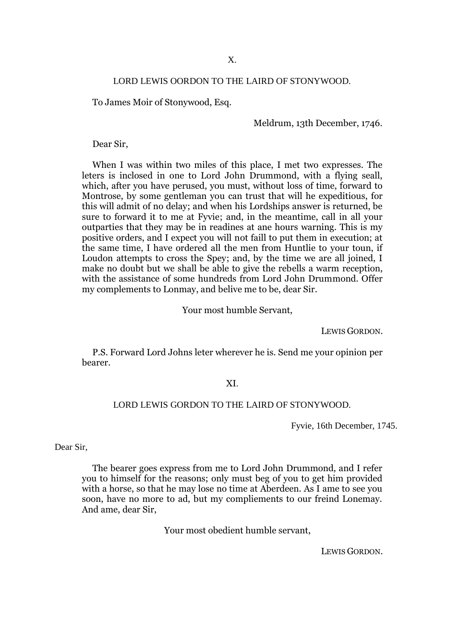### LORD LEWIS OORDON TO THE LAIRD OF STONYWOOD.

To James Moir of Stonywood, Esq.

Meldrum, 13th December, 1746.

Dear Sir,

When I was within two miles of this place, I met two expresses. The leters is inclosed in one to Lord John Drummond, with a flying seall, which, after you have perused, you must, without loss of time, forward to Montrose, by some gentleman you can trust that will he expeditious, for this will admit of no delay; and when his Lordships answer is returned, be sure to forward it to me at Fyvie; and, in the meantime, call in all your outparties that they may be in readines at ane hours warning. This is my positive orders, and I expect you will not faill to put them in execution; at the same time, I have ordered all the men from Huntlie to your toun, if Loudon attempts to cross the Spey; and, by the time we are all joined, I make no doubt but we shall be able to give the rebells a warm reception, with the assistance of some hundreds from Lord John Drummond. Offer my complements to Lonmay, and belive me to be, dear Sir.

Your most humble Servant,

LEWIS GORDON.

P.S. Forward Lord Johns leter wherever he is. Send me your opinion per bearer.

#### XI.

### LORD LEWIS GORDON TO THE LAIRD OF STONYWOOD.

Fyvie, 16th December, 1745.

Dear Sir,

The bearer goes express from me to Lord John Drummond, and I refer you to himself for the reasons; only must beg of you to get him provided with a horse, so that he may lose no time at Aberdeen. As I ame to see you soon, have no more to ad, but my compliements to our freind Lonemay. And ame, dear Sir,

Your most obedient humble servant,

LEWIS GORDON.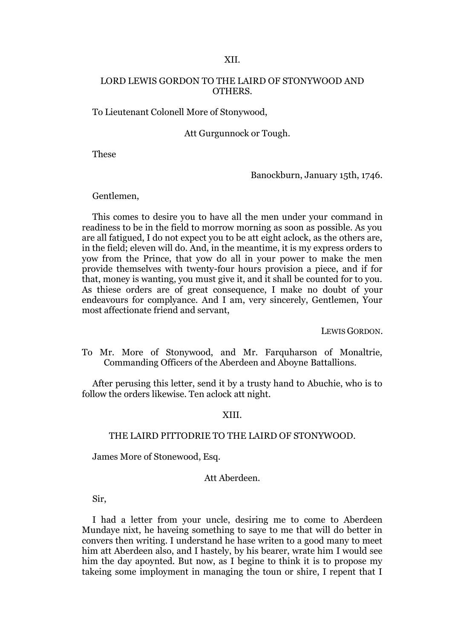### XII.

### LORD LEWIS GORDON TO THE LAIRD OF STONYWOOD AND OTHERS.

To Lieutenant Colonell More of Stonywood,

Att Gurgunnock or Tough.

These

Banockburn, January 15th, 1746.

Gentlemen,

This comes to desire you to have all the men under your command in readiness to be in the field to morrow morning as soon as possible. As you are all fatigued, I do not expect you to be att eight aclock, as the others are, in the field; eleven will do. And, in the meantime, it is my express orders to yow from the Prince, that yow do all in your power to make the men provide themselves with twenty-four hours provision a piece, and if for that, money is wanting, you must give it, and it shall be counted for to you. As thiese orders are of great consequence, I make no doubt of your endeavours for complyance. And I am, very sincerely, Gentlemen, Your most affectionate friend and servant,

LEWIS GORDON.

To Mr. More of Stonywood, and Mr. Farquharson of Monaltrie, Commanding Officers of the Aberdeen and Aboyne Battallions.

After perusing this letter, send it by a trusty hand to Abuchie, who is to follow the orders likewise. Ten aclock att night.

### XIII.

### THE LAIRD PITTODRIE TO THE LAIRD OF STONYWOOD.

James More of Stonewood, Esq.

### Att Aberdeen.

Sir,

I had a letter from your uncle, desiring me to come to Aberdeen Mundaye nixt, he haveing something to saye to me that will do better in convers then writing. I understand he hase writen to a good many to meet him att Aberdeen also, and I hastely, by his bearer, wrate him I would see him the day apoynted. But now, as I begine to think it is to propose my takeing some imployment in managing the toun or shire, I repent that I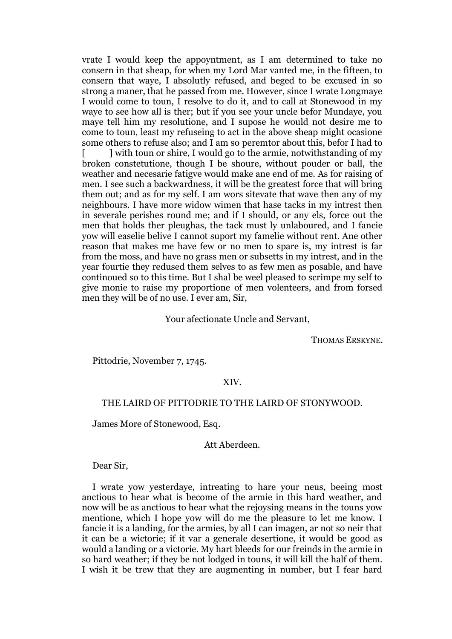vrate I would keep the appoyntment, as I am determined to take no consern in that sheap, for when my Lord Mar vanted me, in the fifteen, to consern that waye, I absolutly refused, and beged to be excused in so strong a maner, that he passed from me. However, since I wrate Longmaye I would come to toun, I resolve to do it, and to call at Stonewood in my waye to see how all is ther; but if you see your uncle befor Mundaye, you maye tell him my resolutione, and I supose he would not desire me to come to toun, least my refuseing to act in the above sheap might ocasione some others to refuse also; and I am so peremtor about this, befor I had to [ ] with toun or shire, I would go to the armie, notwithstanding of my broken constetutione, though I be shoure, without pouder or ball, the weather and necesarie fatigve would make ane end of me. As for raising of men. I see such a backwardness, it will be the greatest force that will bring them out; and as for my self. I am wors sitevate that wave then any of my neighbours. I have more widow wimen that hase tacks in my intrest then in severale perishes round me; and if I should, or any els, force out the men that holds ther pleughas, the tack must ly unlaboured, and I fancie yow will easelie bеlivе I cannot suport my famelie without rent. Ane other reason that makes me have few or no men to spare is, my intrest is far from the moss, and have no grass men or subsetts in my intrest, and in the year fourtie they redused them selves to as few men as posable, and have continoued so to this time. But I shal be weel pleased to scrimpe my self to give monie to raise my proportione of men volenteers, and from forsed men they will be of no use. I ever am, Sir,

### Your afectionate Uncle and Servant,

THOMAS ERSKYNE.

Pittodrie, November 7, 1745.

#### XIV.

### THE LAIRD OF PITTODRIE TO THE LAIRD OF STONYWOOD.

James More of Stonewood, Esq.

### Att Aberdeen.

Dear Sir,

I wrate yow yesterdaye, intreating to hare your neus, beeing most anctious to hear what is become of the armie in this hard weather, and now will be as anctious to hear what the rejoysing means in the touns yow mentione, which I hope yow will do me the pleasure to let me know. I fancie it is a landing, for the armies, by all I can imagen, ar not so neir that it can be a wictorie; if it var a generale desertione, it would be good as would a landing or a victorie. My hart bleeds for our freinds in the armie in so hard weather; if they be not lodged in touns, it will kill the half of them. I wish it be trew that they are augmenting in number, but I fear hard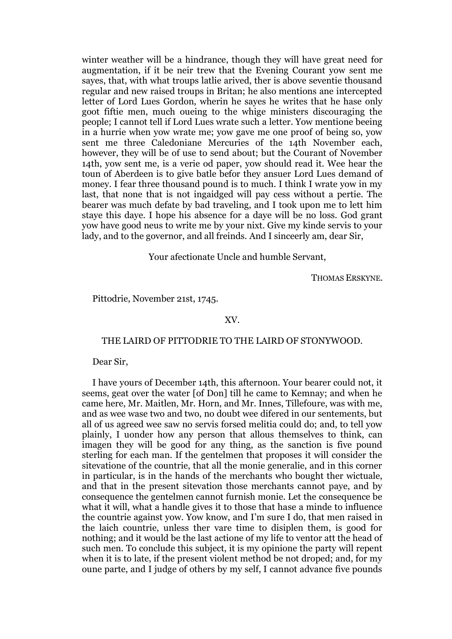winter weather will be a hindrance, though they will have great need for augmentation, if it be neir trew that the Evening Courant yow sent me sayes, that, with what troups latlie arived, ther is above seventie thousand regular and new raised troups in Britan; he also mentions ane intercepted letter of Lord Lues Gordon, wherin he sayes he writes that he hase only goot fiftie men, much oueing to the whige ministers discouraging the people; I cannot tell if Lord Lues wrate such a letter. Yow mentione beeing in a hurrie when yow wrate me; yow gave me one proof of being so, yow sent me three Caledoniane Mercuries of the 14th November each, however, they will be of use to send about; but the Courant of November 14th, yow sent me, is a verie od paper, yow should read it. Wee hear the toun of Aberdeen is to give batle befor they ansuer Lord Lues demand of money. I fear three thousand pound is to much. I think I wrate yow in my last, that none that is not ingaidged will pay cess without a pertie. The bearer was much defate by bad traveling, and I took upon me to lett him staye this daye. I hope his absence for a daye will be no loss. God grant yow have good neus to write me by your nixt. Give my kinde servis to your lady, and to the governor, and all freinds. And I sinceerly am, dear Sir,

Your afectionate Uncle and humble Servant,

THOMAS ERSKYNE.

Pittodrie, November 21st, 1745.

### XV.

### THE LAIRD OF PITTODRIE TO THE LAIRD OF STONYWOOD.

Dear Sir,

I have yours of December 14th, this afternoon. Your bearer could not, it seems, geat over the water [of Don] till he came to Kemnay; and when he came here, Mr. Maitlen, Mr. Horn, and Mr. Innes, Tillefoure, was with me, and as wee wase two and two, no doubt wee difered in our sentements, but all of us agreed wee saw no servis forsed melitia could do; and, to tell yow plainly, I uonder how any person that allous themselves to think, can imagen they will be good for any thing, as the sanction is five pound sterling for each man. If the gentelmen that proposes it will consider the sitevatione of the countrie, that all the monie generalie, and in this corner in particular, is in the hands of the merchants who bought ther wictuale, and that in the present sitevation those merchants cannot paye, and by consequence the gentelmen cannot furnish monie. Let the consequence be what it will, what a handle gives it to those that hase a minde to influence the countrie against yow. Yow know, and I'm sure I do, that men raised in the laich countrie, unless ther vare time to disiplen them, is good for nothing; and it would be the last actione of my life to ventor att the head of such men. To conclude this subject, it is my opinione the party will repent when it is to late, if the present violent method be not droped; and, for my oune parte, and I judge of others by my self, I cannot advance five pounds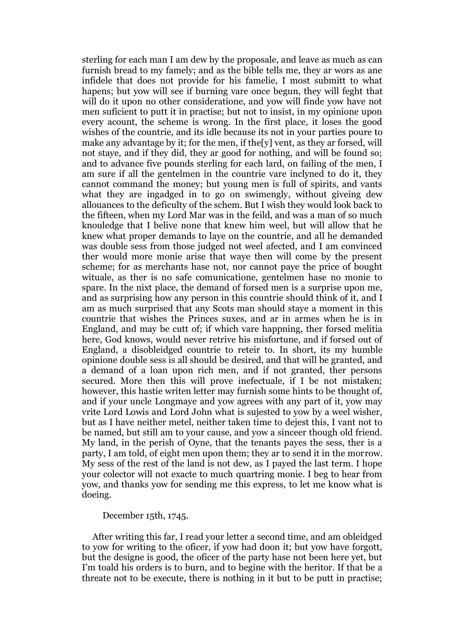sterling for each man I am dew by the proposale, and leave as much as can furnish bread to my famely; and as the bible tells me, they ar wors as ane infidele that does not provide for his famelie, I most submitt to what hapens; but yow will see if burning vare once begun, they will feght that will do it upon no other consideratione, and yow will finde yow have not men suficient to putt it in practise; but not to insist, in my opinione upon every acount, the scheme is wrong. In the first place, it loses the good wishes of the countrie, and its idle because its not in your parties poure to make any advantage by it; for the men, if the[y] vent, as they ar forsed, will not staye, and if they did, they ar good for nothing, and will be found so; and to advance five pounds sterling for each lard, on failing of the men, I am sure if all the gentelmen in the countrie vare inclyned to do it, they cannot command the money; but young men is full of spirits, and vants what they are ingadged in to go on swimengly, without giveing dew allouances to the deficulty of the schem. But I wish they would look back to the fifteen, when my Lord Mar was in the feild, and was a man of so much knouledge that I belive none that knew him weel, but will allow that he knew what proper demands to laye on the countrie, and all he demanded was double sess from those judged not weel afected, and I am convinced ther would more monie arise that waye then will come by the present scheme; for as merchants hase not, nor cannot paye the price of bought wituale, as ther is no safe comunicatione, gentelmen hase no monie to spare. In the nixt place, the demand of forsed men is a surprise upon me, and as surprising how any person in this countrie should think of it, and I am as much surprised that any Scots man should staye a moment in this countrie that wishes the Princes suxes, and ar in armes when he is in England, and may be cutt of; if which vare happning, ther forsed melitia here, God knows, would never retrive his misfortune, and if forsed out of England, a disobleidged countrie to reteir to. In short, its my humble opinione double sess is all should be desired, and that will be granted, and a demand of a loan upon rich men, and if not granted, ther persons secured. More then this will prove inefectuale, if I be not mistaken; however, this hastie writen letter may furnish some hints to be thought of, and if your uncle Longmaye and yow agrees with any part of it, yow may vrite Lord Lowis and Lord John what is sujested to yow by a weel wisher, but as I have neither metel, neither taken time to dejest this, I vant not to be named, but still am to your cause, and yow a sinceer though old friend. My land, in the perish of Oyne, that the tenants payes the sess, ther is a party, I am told, of eight men upon them; they ar to send it in the morrow. My sess of the rest of the land is not dew, as I payed the last term. I hope your colector will not exacte to much quartring monie. I beg to hear from yow, and thanks yow for sending me this express, to let me know what is doeing.

### December 15th, 1745.

After writing this far, I read your letter a second time, and am obleidged to yow for writing to the oficer, if yow had doon it; but yow have forgott, but the designe is good, the oficer of the party hase not been here yet, but I'm toald his orders is to burn, and to begine with the heritor. If that be a threate not to be execute, there is nothing in it but to be putt in practise;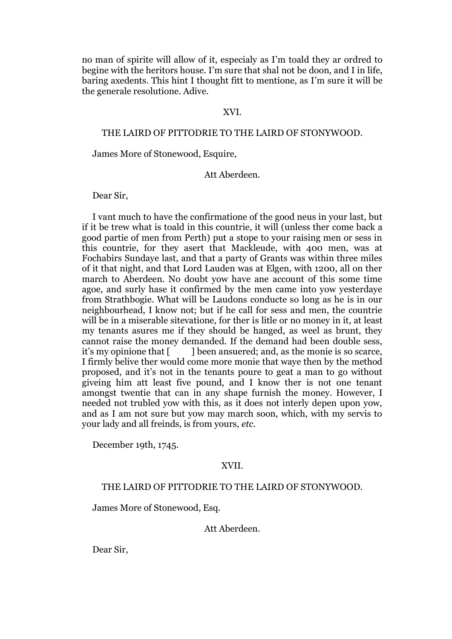no man of spirite will allow of it, especialy as I'm toald they ar ordred to begine with the heritors house. I'm sure that shal not be doon, and I in life, baring axedents. This hint I thought fitt to mentione, as I'm sure it will be the generale resolutione. Adive.

#### XVI.

### THE LAIRD OF PITTODRIE TO THE LAIRD OF STONYWOOD.

James More of Stonewood, Esquire,

### Att Aberdeen.

Dear Sir,

I vant much to have the confirmatione of the good neus in your last, but if it be trew what is toald in this countrie, it will (unless ther come back a good partie of men from Perth) put a stope to your raising men or sess in this countrie, for they asert that Mackleude, with 400 men, was at Fochabirs Sundaye last, and that a party of Grants was within three miles of it that night, and that Lord Lauden was at Elgen, with 1200, all on ther march to Aberdeen. No doubt yow have ane account of this some time agoe, and surly hase it confirmed by the men came into yow yesterdaye from Strathbogie. What will be Laudons conducte so long as he is in our neighbourhead, I know not; but if he call for sess and men, the countrie will be in a miserable sitevatione, for ther is litle or no money in it, at least my tenants asures me if they should be hanged, as weel as brunt, they cannot raise the money demanded. If the demand had been double sess, it's my opinione that [ ] been ansuered; and, as the monie is so scarce, I firmly belive ther would come more monie that waye then by the method proposed, and it's not in the tenants poure to geat a man to go without giveing him att least five pound, and I know ther is not one tenant amongst twentie that can in any shape furnish the money. However, I needed not trubled yow with this, as it does not interly depen upon yow, and as I am not sure but yow may march soon, which, with my servis to your lady and all freinds, is from yours, *etc*.

December 19th, 1745.

#### XVII.

### THE LAIRD OF PITTODRIE TO THE LAIRD OF STONYWOOD.

James More of Stonewood, Esq.

Att Aberdeen.

Dear Sir,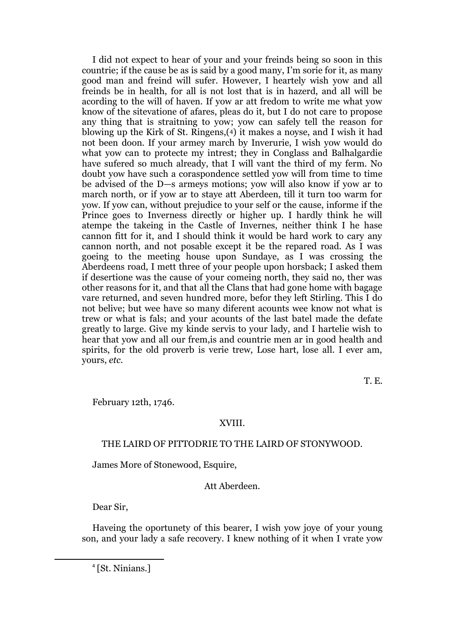I did not expect to hear of your and your freinds being so soon in this countrie; if the cause be as is said by a good many, I'm sorie for it, as many good man and freind will sufer. However, I heartely wish yow and all freinds be in health, for all is not lost that is in hazerd, and all will be acording to the will of haven. If yow ar att fredom to write me what yow know of the sitevatione of afares, pleas do it, but I do not care to propose any thing that is straitning to yow; yow can safely tell the reason for blowing up the Kirk of St. Ringens,(4) it makes a noyse, and I wish it had not been doon. If your armey march by Inverurie, I wish yow would do what yow can to protecte my intrest; they in Conglass and Balhalgardie have sufered so much already, that I will vant the third of my ferm. No doubt yow have such a coraspondence settled yow will from time to time be advised of the D—s armeys motions; yow will also know if yow ar to march north, or if yow ar to staye att Aberdeen, till it turn too warm for yow. If yow can, without prejudice to your self or the cause, informe if the Prince goes to Inverness directly or higher up. I hardly think he will atempe the takeing in the Castle of Invernes, neither think I he hase cannon fitt for it, and I should think it would be hard work to cary any cannon north, and not posable except it be the repared road. As I was goeing to the meeting house upon Sundaye, as I was crossing the Aberdeens road, I mett three of your people upon horsback; I asked them if desertione was the cause of your comeing north, they said no, ther was other reasons for it, and that all the Clans that had gone home with bagage vare returned, and seven hundred more, befor they left Stirling. This I do not belive; but wee have so many diferent acounts wee know not what is trew or what is fals; and your acounts of the last batel made the defate greatly to large. Give my kinde servis to your lady, and I hartelie wish to hear that yow and all our frem,is and countrie men ar in good health and spirits, for the old proverb is verie trew, Lose hart, lose all. I ever am, yours, *etc.*

T. E.

February 12th, 1746.

### XVIII.

### THE LAIRD OF PITTODRIE TO THE LAIRD OF STONYWOOD.

James More of Stonewood, Esquire,

Att Aberdeen.

Dear Sir,

1

Haveing the oportunety of this bearer, I wish yow joye 0f your young son, and your lady a safe recovery. I knew nothing of it when I vrate yow

4 [St. Ninians.]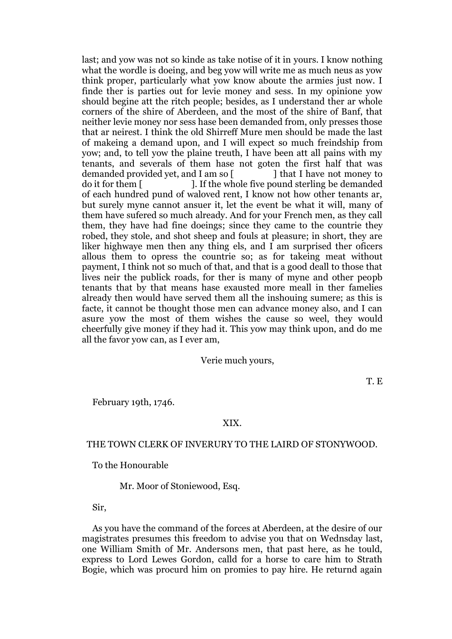last; and yow was not so kinde as take notise of it in yours. I know nothing what the wordle is doeing, and beg yow will write me as much neus as yow think proper, particularly what yow know aboute the armies just now. I finde ther is parties out for levie money and sess. In my opinione yow should begine att the ritch people; besides, as I understand ther ar whole corners of the shire of Aberdeen, and the most of the shire of Banf, that neither levie money nor sess hase been demanded from, only presses those that ar neirest. I think the old Shirreff Mure men should be made the last of makeing a demand upon, and I will expect so much freindship from yow; and, to tell yow the plaine treuth, I have been att all pains with my tenants, and severals of them hase not goten the first half that was demanded provided yet, and I am so  $\lceil$  l that I have not money to do it for them [ ]. If the whole five pound sterling be demanded of each hundred pund of waloved rent, I know not how other tenants ar, but surely myne cannot ansuer it, let the event be what it will, many of them have sufered so much already. And for your French men, as they call them, they have had fine doeings; since they came to the countrie they robed, they stole, and shot sheep and fouls at pleasure; in short, they are liker highwaye men then any thing els, and I am surprised ther oficers allous them to opress the countrie so; as for takeing meat without payment, I think not so much of that, and that is a good deall to those that lives neir the publick roads, for ther is many of myne and other peopb tenants that by that means hase exausted more meall in ther famelies already then would have served them all the inshouing sumere; as this is facte, it cannot be thought those men can advance money also, and I can asure yow the most of them wishes the cause so weel, they would cheerfully give money if they had it. This yow may think upon, and do me all the favor yow can, as I ever am,

### Verie much yours,

T. E

February 19th, 1746.

### XIX.

### THE TOWN CLERK OF INVERURY TO THE LAIRD OF STONYWOOD.

To the Honourable

Mr. Moor of Stoniewood, Esq.

Sir,

As you have the command of the forces at Aberdeen, at the desire of our magistrates presumes this freedom to advise you that on Wednsday last, one William Smith of Mr. Andersons men, that past here, as he tould, express to Lord Lewes Gordon, calld for a horse to care him to Strath Bogie, which was procurd him on promies to pay hire. He returnd again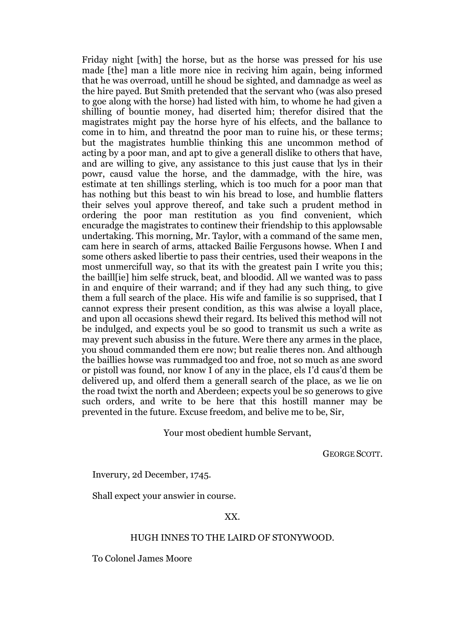Friday night [with] the horse, but as the horse was pressed for his use made [the] man a litle more nice in reciving him again, being informed that he was overroad, untill he shoud be sighted, and damnadge as weel as the hire payed. But Smith pretended that the servant who (was also presed to goe along with the horse) had listed with him, to whome he had given a shilling of bountie money, had diserted him; therefor disired that the magistrates might pay the horse hyre of his elfects, and the ballance to come in to him, and threatnd the poor man to ruine his, or these terms; but the magistrates humblie thinking this ane uncommon method of acting by a poor man, and apt to give a generall dislike to others that have, and are willing to give, any assistance to this just cause that lys in their powr, causd value the horse, and the dammadge, with the hire, was estimate at ten shillings sterling, which is too much for a poor man that has nothing but this beast to win his bread to lose, and humblie flatters their selves youl approve thereof, and take such a prudent method in ordering the poor man restitution as you find convenient, which encuradge the magistrates to continew their friendship to this applowsable undertaking. This morning, Mr. Taylor, with a command of the same men, cam here in search of arms, attacked Bailie Fergusons howse. When I and some others asked libertie to pass their centries, used their weapons in the most unmercifull way, so that its with the greatest pain I write you this; the baill[ie] him selfe struck, beat, and bloodid. All we wanted was to pass in and enquire of their warrand; and if they had any such thing, to give them a full search of the place. His wife and familie is so supprised, that I cannot express their present condition, as this was alwise a loyall place, and upon all occasions shewd their regard. Its belived this method will not be indulged, and expects youl be so good to transmit us such a write as may prevent such abusiss in the future. Were there any armes in the place, you shoud commanded them ere now; but realie theres non. And although the baillies howse was rummadged too and froe, not so much as ane sword or pistoll was found, nor know I of any in the place, els I'd caus'd them be delivered up, and olferd them a generall search of the place, as we lie on the road twixt the north and Aberdeen; expects youl be so generows to give such orders, and write to be here that this hostill manner may be prevented in the future. Excuse freedom, and belive me to be, Sir,

Your most obedient humble Servant,

GEORGE SCOTT.

Inverury, 2d December, 1745.

Shall expect your answier in course.

### XX.

### HUGH INNES TO THE LAIRD OF STONYWOOD.

To Colonel James Moore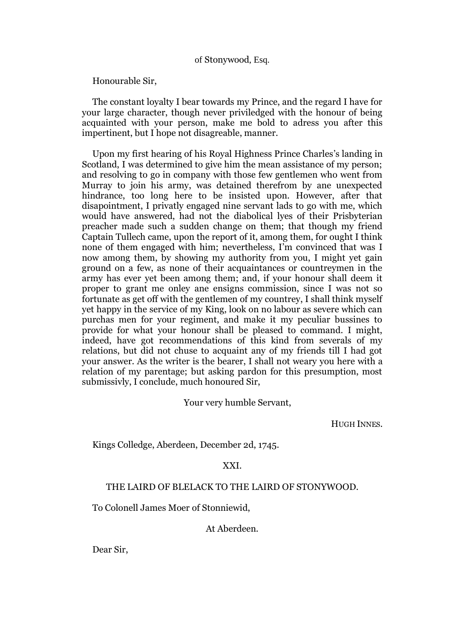### of Stonywood, Esq.

Honourable Sir,

The constant loyalty I bear towards my Prince, and the regard I have for your large character, though never priviledged with the honour of being acquainted with your person, make me bold to adress you after this impertinent, but I hope not disagreable, manner.

Upon my first hearing of his Royal Highness Prince Charles's landing in Scotland, I was determined to give him the mean assistance of my person; and resolving to go in company with those few gentlemen who went from Murray to join his army, was detained therefrom by ane unexpected hindrance, too long here to be insisted upon. However, after that disapointment, I privatly engaged nine servant lads to go with me, which would have answered, had not the diabolical lyes of their Prisbyterian preacher made such a sudden change on them; that though my friend Captain Tullech came, upon the report of it, among them, for ought I think none of them engaged with him; nevertheless, I'm convinced that was I now among them, by showing my authority from you, I might yet gain ground on a few, as none of their acquaintances or countreymen in the army has ever yet been among them; and, if your honour shall deem it proper to grant me onley ane ensigns commission, since I was not so fortunate as get off with the gentlemen of my countrey, I shall think myself yet happy in the service of my King, look on no labour as severe which can purchas men for your regiment, and make it my peculiar bussines to provide for what your honour shall be pleased to command. I might, indeed, have got recommendations of this kind from severals of my relations, but did not chuse to acquaint any of my friends till I had got your answer. As the writer is the bearer, I shall not weary you here with a relation of my parentage; but asking pardon for this presumption, most submissivly, I conclude, much honoured Sir,

Your very humble Servant,

HUGH INNES.

Kings Colledge, Aberdeen, December 2d, 1745.

### XXI.

### THE LAIRD OF BLELACK TO THE LAIRD OF STONYWOOD.

To Colonell James Moer of Stonniewid,

At Aberdeen.

Dear Sir,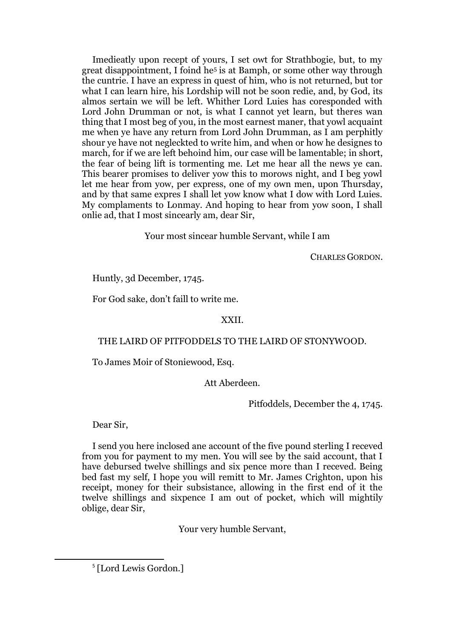Imedieatly upon recept of yours, I set owt for Strathbogie, but, to my great disappointment, I foind he<sup>5</sup> is at Bamph, or some other way through the cuntrie. I have an express in quest of him, who is not returned, but tor what I can learn hire, his Lordship will not be soon redie, and, by God, its almos sertain we will be left. Whither Lord Luies has coresponded with Lord John Drumman or not, is what I cannot yet learn, but theres wan thing that I m0st beg of you, in the most earnest maner, that yowl acquaint me when ye have any return from Lord John Drumman, as I am perphitly shour ye have not negleckted to write him, and when or how he designes to march, for if we are left behoind him, our case will be lamentable; in short, the fear of being lift is tormenting me. Let me hear all the news ye can. This bearer promises to deliver yow this to morows night, and I beg yowl let me hear from yow, per express, one of my own men, upon Thursday, and by that same expres I shall let yow know what I dow with Lord Luies. My complaments to Lonmay. And hoping to hear from yow soon, I shall onlie ad, that I most sincearly am, dear Sir,

Your most sincear humble Servant, while I am

CHARLES GORDON.

Huntly, 3d December, 1745.

For God sake, don't faill to write me.

### XXII.

### THE LAIRD OF PITFODDELS TO THE LAIRD OF STONYWOOD.

To James Moir of Stoniewood, Esq.

Att Aberdeen.

Pitfoddels, December the 4, 1745.

Dear Sir,

1

I send you here inclosed ane account of the five pound sterling I receved from you for payment to my men. You will see by the said account, that I have debursed twelve shillings and six pence more than I receved. Being bed fast my self, I hope you will remitt to Mr. James Crighton, upon his receipt, money for their subsistance, allowing in the first end of it the twelve shillings and sixpence I am out of pocket, which will mightily oblige, dear Sir,

Your very humble Servant,

<sup>5</sup> [Lord Lewis Gordon.]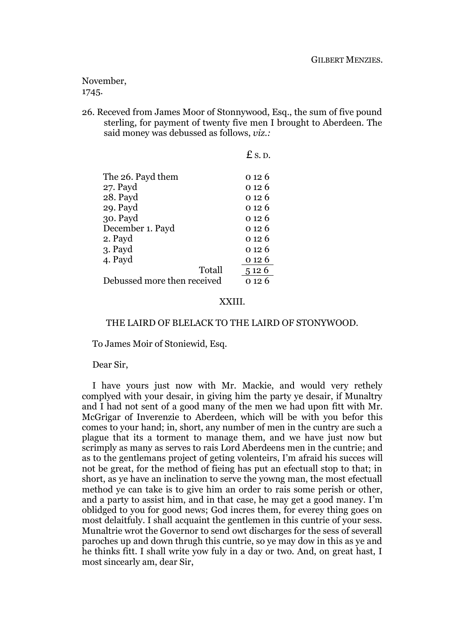November, 1745.

26. Receved from James Moor of Stonnywood, Esq., the sum of five pound sterling, for payment of twenty five men I brought to Aberdeen. The said money was debussed as follows, *viz.:*

|                             | $E$ s. D. |
|-----------------------------|-----------|
| The 26. Payd them           | 0 1 2 6   |
| 27. Payd                    | 0 1 2 6   |
| 28. Payd                    | 0 12 6    |
| 29. Payd                    | 0 1 2 6   |
| 30. Payd                    | ი 12 6    |
| December 1. Payd            | 0 1 2 6   |
| 2. Payd                     | 0 1 2 6   |
| 3. Payd                     | 0 12 6    |
| 4. Payd                     | 0 12 6    |
| Totall                      | 5 1 2 6   |
| Debussed more then received | 0 12 6    |

### XXIII.

### THE LAIRD OF BLELACK TO THE LAIRD OF STONYWOOD.

To James Moir of Stoniewid, Esq.

Dear Sir,

I have yours just now with Mr. Mackie, and would very rethely complyed with your desair, in giving him the party ye desair, if Munaltry and I had not sent of a good many of the men we had upon fitt with Mr. McGrigar of Inverenzie to Aberdeen, which will be with you befor this comes to your hand; in, short, any number of men in the cuntry are such a plague that its a torment to manage them, and we have just now but scrimply as many as serves to rais Lord Aberdeens men in the cuntrie; and as to the gentlemans project of geting volenteirs, I'm afraid his succes will not be great, for the method of fieing has put an efectuall stop to that; in short, as ye have an inclination to serve the yowng man, the most efectuall method ye can take is to give him an order to rais some perish or other, and a party to assist him, and in that case, he may get a good maney. I'm oblidged to you for good news; God incres them, for everey thing goes on most delaitfuly. I shall acquaint the gentlemen in this cuntrie of your sess. Munaltrie wrot the Governor to send owt discharges for the sess of severall paroches up and down thrugh this cuntrie, so ye may dow in this as ye and he thinks fitt. I shall write yow fuly in a day or two. And, on great hast, I most sincearly am, dear Sir,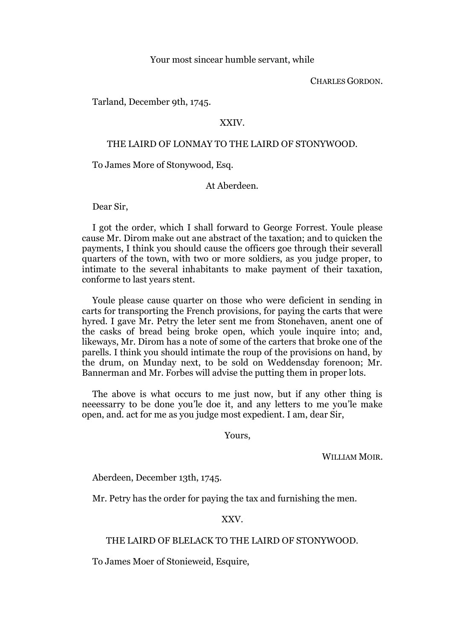### Your most sincear humble servant, while

CHARLES GORDON.

Tarland, December 9th, 1745.

### XXIV.

### THE LAIRD OF LONMAY TO THE LAIRD OF STONYWOOD.

To James More of Stonywood, Esq.

### At Aberdeen.

Dear Sir,

I got the order, which I shall forward to George Forrest. Youle please cause Mr. Dirom make out ane abstract of the taxation; and to quicken the payments, I think you should cause the officers goe through their severall quarters of the town, with two or more soldiers, as you judge proper, to intimate to the several inhabitants to make payment of their taxation, conforme to last years stent.

Youle please cause quarter on those who were deficient in sending in carts for transporting the French provisions, for paying the carts that were hyred. I gave Mr. Petry the leter sent me from Stonehaven, anent one of the casks of bread being broke open, which youle inquire into; and, likeways, Mr. Dirom has a note of some of the carters that broke one of the parells. I think you should intimate the roup of the provisions on hand, by the drum, on Munday next, to be sold on Weddensday forenoon; Mr. Bannerman and Mr. Forbes will advise the putting them in proper lots.

The above is what occurs to me just now, but if any other thing is neeessarry to be done you'le doe it, and any letters to me you'le make open, and. act for me as you judge most expedient. I am, dear Sir,

Yours,

WILLIAM MOIR.

Aberdeen, December 13th, 1745.

Mr. Petry has the order for paying the tax and furnishing the men.

XXV.

### THE LAIRD OF BLELACK TO THE LAIRD OF STONYWOOD.

To James Moer of Stonieweid, Esquire,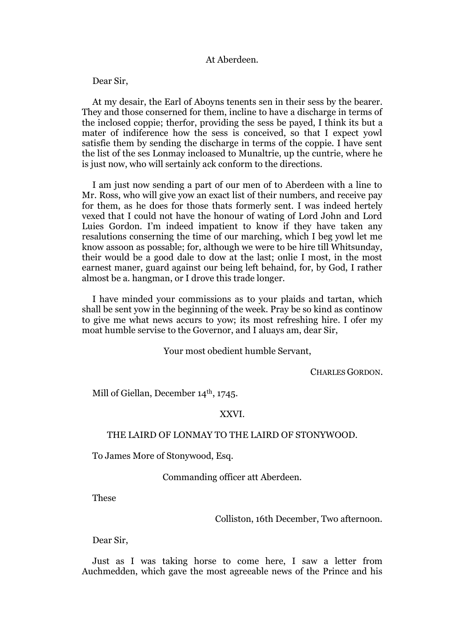### At Aberdeen.

Dear Sir,

At my desair, the Earl of Aboyns tenents sen in their sess by the bearer. They and those conserned for them, incline to have a discharge in terms of the inclosed coppie; therfor, providing the sess be payed, I think its but a mater of indiference how the sess is conceived, so that I expect yowl satisfie them by sending the discharge in terms of the coppie. I have sent the list of the ses Lonmay incloased to Munaltrie, up the cuntrie, where he is just now, who will sertainly ack conform to the directions.

I am just now sending a part of our men of to Aberdeen with a line to Mr. Ross, who will give yow an exact list of their numbers, and receive pay for them, as he does for those thats formerly sent. I was indeed hertely vexed that I could not have the honour of wating of Lord John and Lord Luies Gordon. I'm indeed impatient to know if they have taken any resalutions conserning the time of our marching, which I beg yowl let me know assoon as possable; for, although we were to be hire till Whitsunday, their would be a good dale to dow at the last; onlie I most, in the most earnest maner, guard against our being left behaind, for, by God, I rather almost be a. hangman, or I drove this trade longer.

I have minded your commissions as to your plaids and tartan, which shall be sent yow in the beginning of the week. Pray be so kind as continow to give me what news accurs to yow; its most refreshing hire. I ofer my moat humble servise to the Governor, and I aluays am, dear Sir,

Your most obedient humble Servant,

CHARLES GORDON.

Mill of Giellan, December 14<sup>th</sup>, 1745.

### XXVI.

### THE LAIRD OF LONMAY TO THE LAIRD OF STONYWOOD.

To James More of Stonywood, Esq.

Commanding officer att Aberdeen.

These

Colliston, 16th December, Two afternoon.

Dear Sir,

Just as I was taking horse to come here, I saw a letter from Auchmedden, which gave the most agreeable news of the Prince and his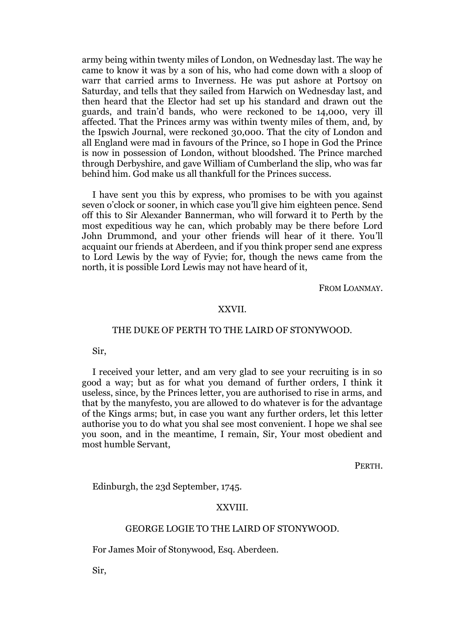army being within twenty miles of London, on Wednesday last. The way he came to know it was by a son of his, who had come down with a sloop of warr that carried arms to Inverness. He was put ashore at Portsoy on Saturday, and tells that they sailed from Harwich on Wednesday last, and then heard that the Elector had set up his standard and drawn out the guards, and train'd bands, who were reckoned to be 14,000, very ill affected. That the Princes army was within twenty miles of them, and*,* by the Ipswich Journal, were reckoned 30,000. That the city of London and all England were mad in favours of the Prince, so I hope in God the Prince is now in possession of London, without bloodshed. The Prince marched through Derbyshire, and gave William of Cumberland the slip, who was far behind him. God make us all thankfull for the Princes success.

I have sent you this by express, who promises to be with you against seven o'clock or sooner, in which case you'll give him eighteen pence. Send off this to Sir Alexander Bannerman, who will forward it to Perth by the most expeditious way he can, which probably may be there before Lord John Drummond, and your other friends will hear of it there. You'll acquaint our friends at Aberdeen, and if you think proper send ane express to Lord Lewis by the way of Fyvie; for, though the news came from the north, it is possible Lord Lewis may not have heard of it,

FROM LOANMAY.

### XXVII.

### THE DUKE OF PERTH TO THE LAIRD OF STONYWOOD.

Sir,

I received your letter, and am very glad to see your recruiting is in so good a way; but as for what you demand of further orders, I think it useless, since, by the Princes letter, you are authorised to rise in arms, and that by the manyfesto, you are allowed to do whatever is for the advantage of the Kings arms; but, in case you want any further orders, let this letter authorise you to do what you shal see most convenient. I hope we shal see you soon, and in the meantime, I remain, Sir, Your most obedient and most humble Servant,

PERTH.

Edinburgh, the 23d September, 1745.

#### XXVIII.

#### GEORGE LOGIE TO THE LAIRD OF STONYWOOD.

For James Moir of Stonywood, Esq. Aberdeen.

Sir,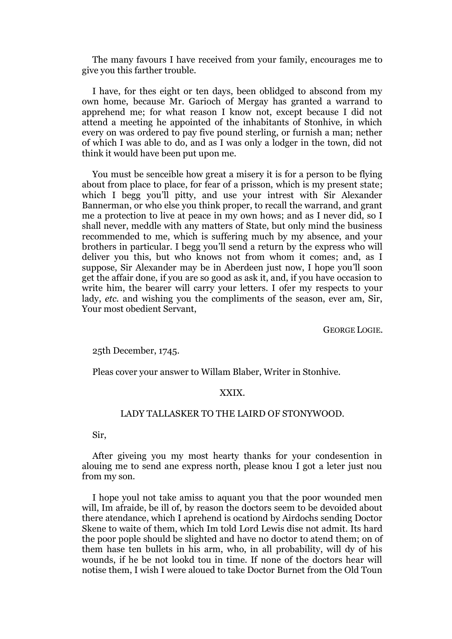The many favours I have received from your family, encourages me to give you this farther trouble.

I have, for thes eight or ten days, been oblidged to abscond from my own home, because Mr. Garioch of Mergay has granted a warrand to apprehend me; for what reason I know not, except because I did not attend a meeting he appointed of the inhabitants of Stonhive, in which every on was ordered to pay five pound sterling, or furnish a man; nether of which I was able to do, and as I was only a lodger in the town, did not think it would have been put upon me.

You must be senceible how great a misery it is for a person to be flying about from place to place, for fear of a prisson, which is my present state; which I begg you'll pitty, and use your intrest with Sir Alexander Bannerman, or who else you think proper, to recall the warrand, and grant me a protection to live at peace in my own hows; and as I never did, so I shall never, meddle with any matters of State, but only mind the business recommended to me, which is suffering much by my absence, and your brothers in particular. I begg you'll send a return by the express who will deliver you this, but who knows not from whom it comes; and, as I suppose, Sir Alexander may be in Aberdeen just now, I hope you'll soon get the affair done, if you are so good as ask it, and, if you have occasion to write him, the bearer will carry your letters. I ofer my respects to your lady, *etc.* and wishing you the compliments of the season, ever am, Sir, Your most obedient Servant,

GEORGE LOGIE.

25th December, 1745.

Pleas cover your answer to Willam Blaber, Writer in Stonhive.

### XXIX.

### LADY TALLASKER TO THE LAIRD OF STONYWOOD.

Sir,

After giveing you my most hearty thanks for your condesention in alouing me to send ane express north, please knou I got a leter just nou from my son.

I hope youl not take amiss to aquant you that the poor wounded men will, Im afraide, be ill of, by reason the doctors seem to be devoided about there atendance, which I aprehend is ocationd by Airdochs sending Doctor Skene to waite of them, which Im told Lord Lewis dise not admit. Its hard the poor pople should be slighted and have no doctor to atend them; on of them hase ten bullets in his arm, who, in all probability, will dy of his wounds, if he be not lookd tou in time. If none of the doctors hear will notise them, I wish I were aloued to take Doctor Burnet from the Old Toun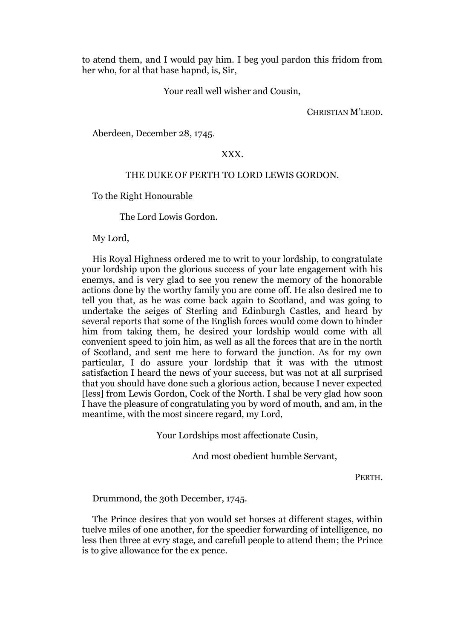to atend them, and I would pay him. I beg youl pardon this fridom from her who, for al that hase hapnd, is, Sir,

Your reall well wisher and Cousin,

CHRISTIAN M'LEOD.

Aberdeen, December 28, 1745.

### XXX.

### THE DUKE OF PERTH TO LORD LEWIS GORDON.

To the Right Honourable

The Lord Lowis Gordon.

My Lord,

His Royal Highness ordered me to writ to your lordship, to congratulate your lordship upon the glorious success of your late engagement with his enemys, and is very glad to see you renew the memory of the honorable actions done by the worthy family you are come off. He also desired me to tell you that, as he was come back again to Scotland, and was going to undertake the seiges of Sterling and Edinburgh Castles, and heard by several reports that some of the English forces would come down to hinder him from taking them, he desired your lordship would come with all convenient speed to join him, as well as all the forces that are in the north of Scotland, and sent me here to forward the junction. As for my own particular, I do assure your lordship that it was with the utmost satisfaction I heard the news of your success, but was not at all surprised that you should have done such a glorious action, because I never expected [less] from Lewis Gordon, Cock of the North. I shal be very glad how soon I have the pleasure of congratulating you by word of mouth, and am, in the meantime, with the most sincere regard, my Lord,

Your Lordships most affectionate Cusin,

And most obedient humble Servant,

PERTH.

Drummond, the 30th December, 1745.

The Prince desires that yon would set horses at different stages, within tuelve miles of one another, for the speedier forwarding of intelligence, no less then three at evry stage, and carefull people to attend them; the Prince is to give allowance for the ex pence.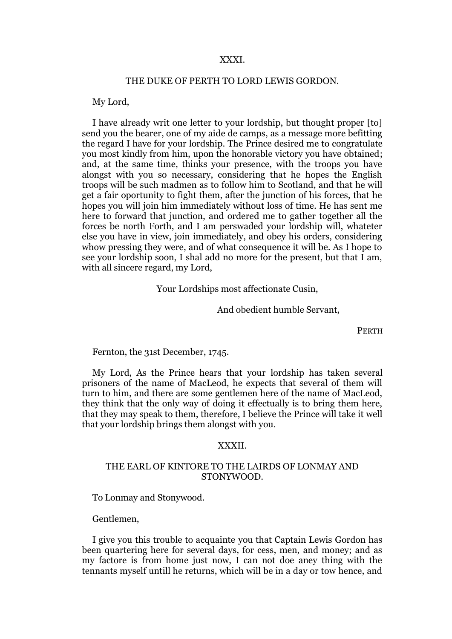#### XXXI.

#### THE DUKE OF PERTH TO LORD LEWIS GORDON.

My Lord,

I have already writ one letter to your lordship, but thought proper [to] send you the bearer, one of my aide de camps, as a message more befitting the regard I have for your lordship. The Prince desired me to congratulate you most kindly from him, upon the honorable victory you have obtained; and, at the same time, thinks your presence, with the troops you have alongst with you so necessary, considering that he hopes the English troops will be such madmen as to follow him to Scotland, and that he will get a fair oportunity to fight them, after the junction of his forces, that he hopes you will join him immediately without loss of time. He has sent me here to forward that junction, and ordered me to gather together all the forces be north Forth, and I am perswaded your lordship will, whateter else you have in view, join immediately, and obey his orders, considering whow pressing they were, and of what consequence it will be. As I hope to see your lordship soon, I shal add no more for the present, but that I am, with all sincere regard, my Lord,

Your Lordships most affectionate Cusin,

And obedient humble Servant,

PERTH

Fernton, the 31st December, 1745.

My Lord, As the Prince hears that your lordship has taken several prisoners of the name of MacLeod, he expects that several of them will turn to him, and there are some gentlemen here of the name of MacLeod, they think that the only way of doing it effectually is to bring them here, that they may speak to them, therefore, I believe the Prince will take it well that your lordship brings them alongst with you.

#### XXXII.

### THE EARL OF KINTORE TO THE LAIRDS OF LONMAY AND STONYWOOD.

To Lonmay and Stonywood.

Gentlemen,

I give you this trouble to acquainte you that Captain Lewis Gordon has been quartering here for several days, for cess, men, and money; and as my factore is from home just now, I can not doe aney thing with the tennants myself untill he returns, which will be in a day or tow hence, and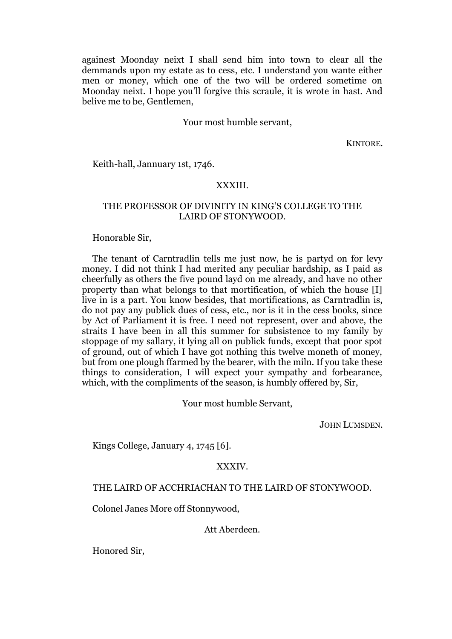againest Moonday neixt I shall send him into town to clear all the demmands upon my estate as to cess, etc. I understand you wante either men or money, which one of the two will be ordered sometime on Moonday neixt. I hope you'll forgive this scraule, it is wrote in hast. And belive me to be, Gentlemen,

### Your most humble servant,

KINTORE.

Keith-hall, Jannuary 1st, 1746.

### XXXIII.

### THE PROFESSOR OF DIVINITY IN KING'S COLLEGE TO THE LAIRD OF STONYWOOD.

Honorable Sir,

The tenant of Carntradlin tells me just now, he is partyd on for levy money. I did not think I had merited any peculiar hardship, as I paid as cheerfully as others the five pound layd on me already, and have no other property than what belongs to that mortification, of which the house [I] live in is a part. You know besides, that mortifications, as Carntradlin is, do not pay any publick dues of cess, etc., nor is it in the cess books, since by Act of Parliament it is free. I need not represent, over and above, the straits I have been in all this summer for subsistence to my family by stoppage of my sallary, it lying all on publick funds, except that poor spot of ground, out of which I have got nothing this twelve moneth of money, but from one plough ffarmed by the bearer, with the miln. If you take these things to consideration, I will expect your sympathy and forbearance, which, with the compliments of the season, is humbly offered by, Sir,

Your most humble Servant,

JOHN LUMSDEN.

Kings College, January 4, 1745 [6].

### XXXIV.

#### THE LAIRD OF ACCHRIACHAN TO THE LAIRD OF STONYWOOD.

Colonel Janes More off Stonnywood,

Att Aberdeen.

Honored Sir,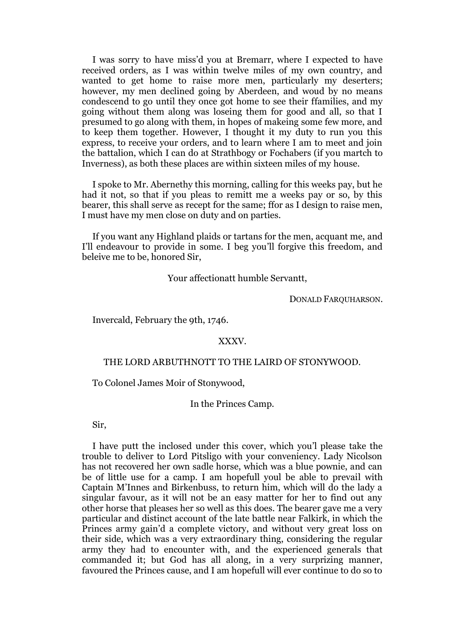I was sоrrу to havе miss'd you at Bremarr, where I expected to have received orders, as I was within twelve miles of my own country, and wanted to get home to raise more men, particularly my deserters; however, my men declined going by Aberdeen, and woud by no means condescend to go until they once got home to see their ffamilies, and my going without them along was loseing them for good and all, so that I presumed to go along with them, in hopes of makeing some few more, and to keep them together. However, I thought it my duty to run you this express, to receive your orders, and to learn where I am to meet and join the battalion, which I can do at Strathbogy or Fochabers (if you martch to Inverness), as both these places are within sixteen miles of my house.

I spoke to Mr. Abernethy this morning, calling for this weeks pay, but he had it not, so that if you pleas to remitt me a weeks pay or so, by this bearer, this shall serve as recept for the same; ffor as I design to raise men, I must have my men close on duty and on parties.

If you want any Highland plaids or tartans for the men, acquant me, and I'll endeavour to provide in some. I beg you'll forgive this freedom, and beleive me to be, honored Sir,

Your affectionatt humble Servantt,

DONALD FARQUHARSON.

Invercald, February the 9th, 1746.

### XXXV.

#### THE LORD ARBUTHNOTT TO THE LAIRD OF STONYWOOD.

To Colonel James Moir of Stonywood,

### In the Princes Camp.

Sir,

I have putt the inclosed under this cover, which you'l please take the trouble to deliver to Lord Pitsligo with your conveniency. Lady Nicolson has not recovered her own sadle horse, which was a blue pownie, and can be of little use for a camp. I am hopefull youl be able to prevail with Captain M'Innes and Birkenbuss, to return him, which will do the lady a singular favour, as it will not be an easy matter for her to find out any other horse that pleases her so well as this does. The bearer gave me a very particular and distinct account of the late battle near Falkirk, in which the Princes army gain'd a complete victory, and without very great loss on their side, which was a very extraordinary thing, considering the regular army they had to encounter with, and the experienced generals that commanded it; but God has all along, in a very surprizing manner, favoured the Princes cause, and I am hopefull will ever continue to do so to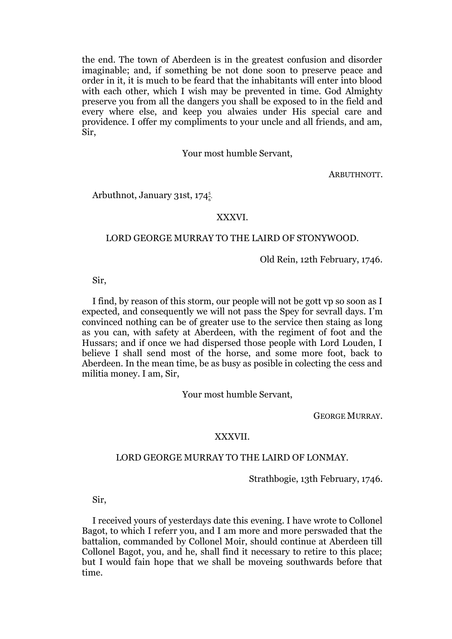the end. The town of Aberdeen is in the greatest confusion and disorder imaginable; and, if something be not done soon to preserve peace and order in it, it is much to be feard that the inhabitants will enter into blood with each other, which I wish may be prevented in time. God Almighty preserve you from all the dangers you shall be exposed to in the field and every where else, and keep you alwaies under His special care and providence. I offer my compliments to your uncle and all friends, and am, Sir,

Your most humble Servant,

ARBUTHNOTT.

Arbuthnot, January 31st, 174 $\frac{5}{6}$ .

### XXXVI.

### LORD GEORGE MURRAY TO THE LAIRD OF STONYWOOD.

Old Rein, 12th February, 1746.

Sir,

I find, by reason of this storm, our people will not be gott vp so soon as I expected, and consequently we will not pass the Spey for sevrall days. I'm convinced nothing can be of greater use to the service then staing as long as you can, with safety at Aberdeen, with the regiment of foot and the Hussars; and if once we had dispersed those people with Lord Louden, I believe I shall send most of the horse, and some more foot, back to Aberdeen. In the mean time, be as busy as posible in colecting the cess and militia money. I am, Sir,

Your most humble Servant,

GEORGE MURRAY.

### XXXVII.

#### LORD GEORGE MURRAY TO THE LAIRD OF LONMAY.

Strathbogie, 13th February, 1746.

Sir,

I received yours of yesterdays date this evening. I have wrote to Collonel Bagot, to which I referr you, and I am more and more perswaded that the battalion, commanded by Collonel Moir, should continue at Aberdeen till Collonel Bagot, you, and he, shall find it necessary to retire to this place; but I would fain hope that we shall be moveing southwards before that time.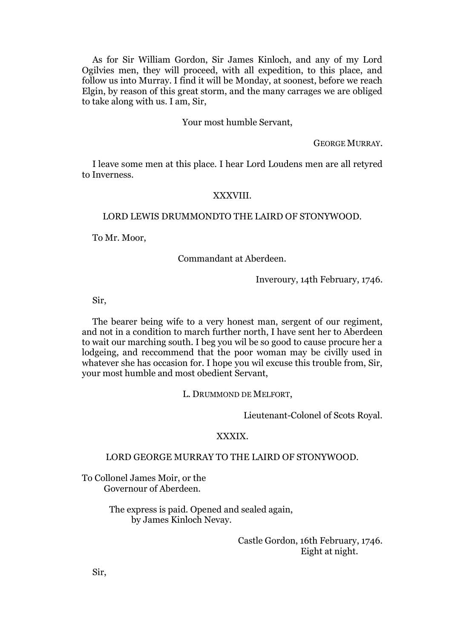As for Sir William Gordon, Sir James Kinloch, and any of my Lord Ogilvies men, they will proceed, with all expedition, to this place, and follow us into Murray. I find it will be Monday, at soonest, before we reach Elgin, by reason of this great storm, and the many carrages we are obliged to take along with us. I am, Sir,

### Your most humble Servant,

GEORGE MURRAY.

I leave some men at this place. I hear Lord Loudens men are all retyred to Inverness.

### XXXVIII.

### LORD LEWIS DRUMMONDTO THE LAIRD OF STONYWOOD.

To Mr. Moor,

Commandant at Aberdeen.

Inveroury, 14th February, 1746.

Sir,

The bearer being wife to a very honest man, sergent of our regiment, and not in a condition to march further north, I have sent her to Aberdeen to wait our marching south. I beg you wil be so good to cause procure her a lodgeing, and reccommend that the poor woman may be civilly used in whatever she has occasion for. I hope you wil excuse this trouble from, Sir, your most humble and most obedient Servant,

L. DRUMMOND DE MELFORT,

Lieutenant-Colonel of Scots Royal.

#### XXXIX.

### LORD GEORGE MURRAY TO THE LAIRD OF STONYWOOD.

To Collonel James Moir, or the Governour of Aberdeen.

> The express is paid. Opened and sealed again, by James Kinloch Nevay.

> > Castle Gordon, 16th February, 1746. Eight at night.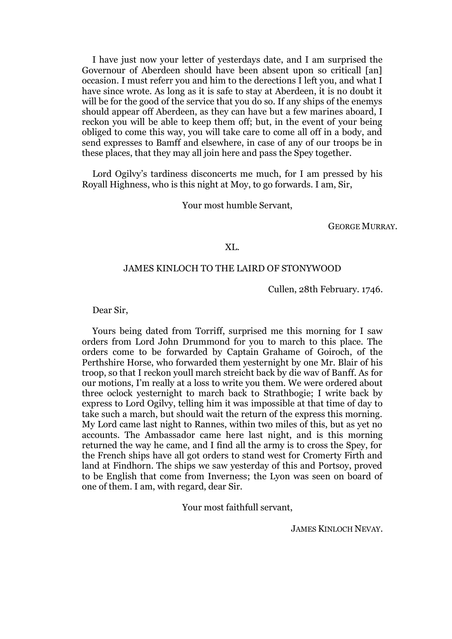I have just now your letter of yesterdays date, and I am surprised the Governour of Aberdeen should have been absent upon so criticall [an] occasion. I must referr you and him to the derections I left you, and what I have since wrote. As long as it is safe to stay at Aberdeen, it is no doubt it will be for the good of the service that you do so. If any ships of the enemys should appear off Aberdeen, as they can have but a few marines aboard, I reckon you will be able to keep them off; but, in the event of your being obliged to come this way, you will take care to come all off in a body, and send expresses to Bamff and elsewhere, in case of any of our troops be in these places, that they may all join here and pass the Spey together.

Lord Ogilvy's tardiness disconcerts me much, for I am pressed by his Royall Highness, who is this night at Moy, to go forwards. I am, Sir,

Your most humble Servant,

GEORGE MURRAY.

### XL.

### JAMES KINLOCH TO THE LAIRD OF STONYWOOD

Сullеn, 28th February. 1746.

Dear Sir,

Yours being dated from Torriff, surprised me this morning for I saw orders from Lord John Drummond for you to march to this place. The orders come to be forwarded by Captain Grahame of Goiroch, of the Perthshire Horse, who forwarded them yesternight by one Mr. Blair of his troop, so that I reckon youll march streicht back by die wav of Banff. As for our motions, I'm really at a loss to write you them. We were ordered about three oclock yesternight to march back to Strathbogie; I write back by express to Lord Ogilvy, telling him it was impossible at that time of day to take such a march, but should wait the return of the express this morning. My Lord came last night to Rannes, within two miles of this, but as yet no accounts. The Ambassador came here last night, and is this morning returned the way he came, and I find all the army is to cross the Spey, for the French ships have all got orders to stand west for Cromerty Firth and land at Findhorn. The ships we saw yesterday of this and Portsoy, proved to be English that come from Inverness; the Lyon was seen on board of one of them. I am, with regard, dear Sir.

Your most faithfull servant,

JAMES KINLOCH NEVAY.